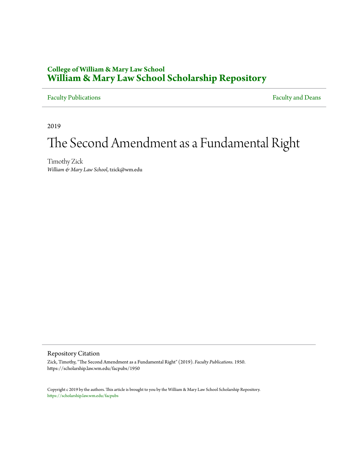# **College of William & Mary Law School [William & Mary Law School Scholarship Repository](https://scholarship.law.wm.edu/)**

# [Faculty Publications](https://scholarship.law.wm.edu/facpubs) **Faculty** and Deans

2019

# The Second Amendment as a Fundamental Right

Timothy Zick *William & Mary Law School*, tzick@wm.edu

## Repository Citation

Zick, Timothy, "The Second Amendment as a Fundamental Right" (2019). *Faculty Publications*. 1950. https://scholarship.law.wm.edu/facpubs/1950

Copyright c 2019 by the authors. This article is brought to you by the William & Mary Law School Scholarship Repository. <https://scholarship.law.wm.edu/facpubs>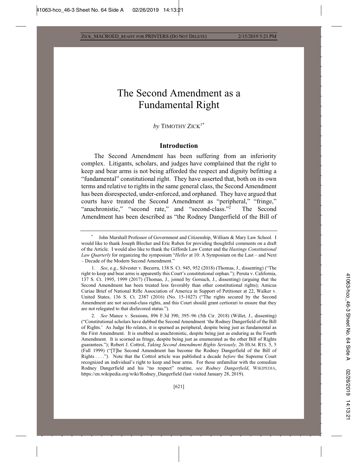# The Second Amendment as a Fundamental Right

# by TIMOTHY ZICK<sup>1\*</sup>

# **Introduction**

The Second Amendment has been suffering from an inferiority complex. Litigants, scholars, and judges have complained that the right to keep and bear arms is not being afforded the respect and dignity befitting a "fundamental" constitutional right. They have asserted that, both on its own terms and relative to rights in the same general class, the Second Amendment has been disrespected, under-enforced, and orphaned. They have argued that courts have treated the Second Amendment as "peripheral," "fringe," "anachronistic," "second rate," and "second-class."<sup>2</sup> The Second Amendment has been described as "the Rodney Dangerfield of the Bill of

 <sup>\*</sup> John Marshall Professor of Government and Citizenship, William & Mary Law School. I would like to thank Joseph Blocher and Eric Ruben for providing thoughtful comments on a draft of the Article. I would also like to thank the Giffords Law Center and the *Hastings Constitutional Law Quarterly* for organizing the symposium "*Heller* at 10: A Symposium on the Last – and Next – Decade of the Modern Second Amendment."

 <sup>1.</sup> *See*, e.g., Silvester v. Becerra, 138 S. Ct. 945, 952 (2018) (Thomas, J., dissenting) ("The right to keep and bear arms is apparently this Court's constitutional orphan."); Peruta v. California, 137 S. Ct. 1995, 1999 (2017) (Thomas, J., joined by Gorsuch, J., dissenting) (arguing that the Second Amendment has been treated less favorably than other constitutional rights); Amicus Curiae Brief of National Rifle Association of America in Support of Petitioner at 22, Walker v. United States, 136 S. Ct. 2387 (2016) (No. 15-1027) ("The rights secured by the Second Amendment are not second-class rights, and this Court should grant certiorari to ensure that they are not relegated to that disfavored status.").

 <sup>2.</sup> *See* Mance v. Sessions, 896 F.3d 390, 395–96 (5th Cir. 2018) (Willet, J., dissenting) ("Constitutional scholars have dubbed the Second Amendment 'the Rodney Dangerfield of the Bill of Rights.' As Judge Ho relates, it is spurned as peripheral, despite being just as fundamental as the First Amendment. It is snubbed as anachronistic, despite being just as enduring as the Fourth Amendment. It is scorned as fringe, despite being just as enumerated as the other Bill of Rights guarantees."); Robert J. Cottrol, *Taking Second Amendment Rights Seriously,* 26 HUM. RTS. 5, 5 (Fall 1999) ("[T]he Second Amendment has become the Rodney Dangerfield of the Bill of Rights . . . ."). Note that the Cottrol article was published a decade *before* the Supreme Court recognized an individual's right to keep and bear arms. For those unfamiliar with the comedian Rodney Dangerfield and his "no respect" routine, *see Rodney Dangerfield*, WIKIPEDIA, https://en.wikipedia.org/wiki/Rodney\_Dangerfield (last visited January 28, 2019).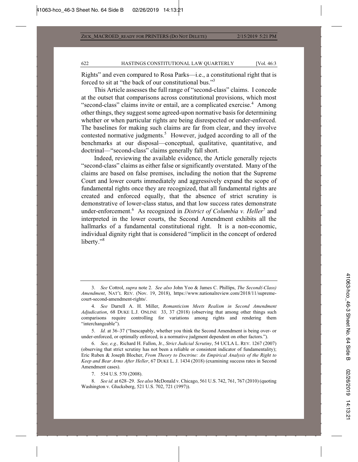Rights" and even compared to Rosa Parks––i.e., a constitutional right that is forced to sit at "the back of our constitutional bus."3

This Article assesses the full range of "second-class" claims. I concede at the outset that comparisons across constitutional provisions, which most "second-class" claims invite or entail, are a complicated exercise.<sup>4</sup> Among other things, they suggest some agreed-upon normative basis for determining whether or when particular rights are being disrespected or under-enforced. The baselines for making such claims are far from clear, and they involve contested normative judgments.<sup>5</sup> However, judged according to all of the benchmarks at our disposal––conceptual, qualitative, quantitative, and doctrinal––"second-class" claims generally fall short.

Indeed, reviewing the available evidence, the Article generally rejects "second-class" claims as either false or significantly overstated. Many of the claims are based on false premises, including the notion that the Supreme Court and lower courts immediately and aggressively expand the scope of fundamental rights once they are recognized, that all fundamental rights are created and enforced equally, that the absence of strict scrutiny is demonstrative of lower-class status, and that low success rates demonstrate under-enforcement.<sup>6</sup> As recognized in *District of Columbia v. Heller*<sup>7</sup> and interpreted in the lower courts, the Second Amendment exhibits all the hallmarks of a fundamental constitutional right. It is a non-economic, individual dignity right that is considered "implicit in the concept of ordered liberty."<sup>8</sup>

 5. *Id.* at 36–37 ("Inescapably, whether you think the Second Amendment is being over- or under-enforced, or optimally enforced, is a normative judgment dependent on other factors.").

 6. *See, e.g.,* Richard H. Fallon, Jr., *Strict Judicial Scrutiny*, 54 UCLA L. REV. 1267 (2007) (observing that strict scrutiny has not been a reliable or consistent indicator of fundamentality); Eric Ruben & Joseph Blocher, *From Theory to Doctrine: An Empirical Analysis of the Right to Keep and Bear Arms After Heller*, 67 DUKE L. J. 1434 (2018) (examining success rates in Second Amendment cases).

 <sup>3.</sup> *See* Cottrol, *supra* note 2. *See also* John Yoo & James C. Phillips, *The Second(-Class) Amendment*, NAT'L REV. (Nov. 19, 2018), https://www.nationalreview.com/2018/11/supremecourt-second-amendment-rights/.

 <sup>4.</sup> *See* Darrell A. H. Miller, *Romanticism Meets Realism in Second Amendment Adjudication*, 68 DUKE L.J. ONLINE 33, 37 (2018) (observing that among other things such comparisons require controlling for variations among rights and rendering them "interchangeable").

 <sup>7. 554</sup> U.S. 570 (2008).

 <sup>8.</sup> *See id.* at 628–29. *See also* McDonald v. Chicago, 561 U.S. 742, 761, 767 (2010) (quoting Washington v. Glucksberg, 521 U.S. 702, 721 (1997)).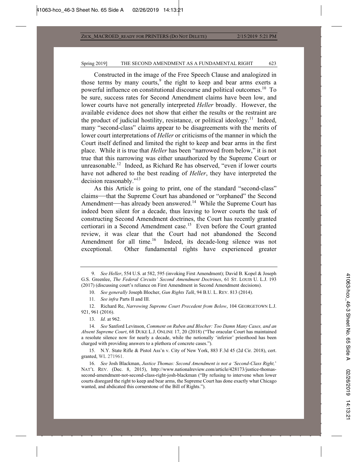Constructed in the image of the Free Speech Clause and analogized in those terms by many courts,<sup>9</sup> the right to keep and bear arms exerts a powerful influence on constitutional discourse and political outcomes.10 To be sure, success rates for Second Amendment claims have been low, and lower courts have not generally interpreted *Heller* broadly. However, the available evidence does not show that either the results or the restraint are the product of judicial hostility, resistance, or political ideology.<sup>11</sup> Indeed, many "second-class" claims appear to be disagreements with the merits of lower court interpretations of *Heller* or criticisms of the manner in which the Court itself defined and limited the right to keep and bear arms in the first place. While it is true that *Heller* has been "narrowed from below," it is not true that this narrowing was either unauthorized by the Supreme Court or unreasonable.<sup>12</sup> Indeed, as Richard Re has observed, "even if lower courts have not adhered to the best reading of *Heller*, they have interpreted the decision reasonably."13

As this Article is going to print, one of the standard "second-class" claims—that the Supreme Court has abandoned or "orphaned" the Second Amendment—has already been answered.<sup>14</sup> While the Supreme Court has indeed been silent for a decade, thus leaving to lower courts the task of constructing Second Amendment doctrines, the Court has recently granted certiorari in a Second Amendment case.15 Even before the Court granted review, it was clear that the Court had not abandoned the Second Amendment for all time.<sup>16</sup> Indeed, its decade-long silence was not exceptional. Other fundamental rights have experienced greater

11. *See infra* Parts II and III.

 12. Richard Re, *Narrowing Supreme Court Precedent from Below*, 104 GEORGETOWN L.J. 921, 961 (2016).

13. *Id.* at 962.

 14. *See* Sanford Levinson, *Comment on Ruben and Blocher: Too Damn Many Cases, and an Absent Supreme Court*, 68 DUKE L.J. ONLINE 17, 20 (2018) ("The oracular Court has maintained a resolute silence now for nearly a decade, while the notionally 'inferior' priesthood has been charged with providing answers to a plethora of concrete cases.").

 15. N.Y. State Rifle & Pistol Ass'n v. City of New York, 883 F.3d 45 (2d Cir. 2018), cert. granted, WL 271961.

 16. *See* Josh Blackman, *Justice Thomas: Second Amendment is not a 'Second-Class Right,*' NAT'L REV. (Dec. 8, 2015), http://www.nationalreview.com/article/428173/justice-thomassecond-amendment-not-second-class-right-josh-blackman ("By refusing to intervene when lower courts disregard the right to keep and bear arms, the Supreme Court has done exactly what Chicago wanted, and abdicated this cornerstone of the Bill of Rights.").

 <sup>9.</sup> *See Heller*, 554 U.S. at 582, 595 (invoking First Amendment); David B. Kopel & Joseph G.S. Greenlee, *The Federal Circuits' Second Amendment Doctrines*, 61 ST. LOUIS U. L.J. 193 (2017) (discussing court's reliance on First Amendment in Second Amendment decisions).

 <sup>10.</sup> *See generally* Joseph Blocher, *Gun Rights Talk*, 94 B.U. L. REV. 813 (2014).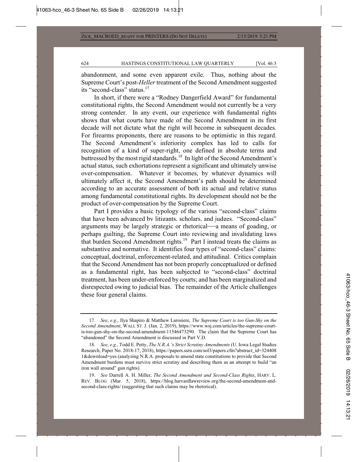abandonment, and some even apparent exile. Thus, nothing about the Supreme Court's post-*Heller* treatment of the Second Amendment suggested its "second-class" status.<sup>17</sup>

In short, if there were a "Rodney Dangerfield Award" for fundamental constitutional rights, the Second Amendment would not currently be a very strong contender. In any event, our experience with fundamental rights shows that what courts have made of the Second Amendment in its first decade will not dictate what the right will become in subsequent decades. For firearms proponents, there are reasons to be optimistic in this regard. The Second Amendment's inferiority complex has led to calls for recognition of a kind of super-right, one defined in absolute terms and buttressed by the most rigid standards.<sup>18</sup> In light of the Second Amendment's actual status, such exhortations represent a significant and ultimately unwise over-compensation. Whatever it becomes, by whatever dynamics will ultimately affect it, the Second Amendment's path should be determined according to an accurate assessment of both its actual and relative status among fundamental constitutional rights. Its development should not be the product of over-compensation by the Supreme Court.

Part I provides a basic typology of the various "second-class" claims that have been advanced by litigants, scholars, and judges. "Second-class" arguments may be largely strategic or rhetorical—a means of goading, or perhaps guilting, the Supreme Court into reviewing and invalidating laws that burden Second Amendment rights.<sup>19</sup> Part I instead treats the claims as substantive and normative. It identifies four types of "second-class" claims: conceptual, doctrinal, enforcement-related, and attitudinal. Critics complain that the Second Amendment has not been properly conceptualized or defined as a fundamental right, has been subjected to "second-class" doctrinal treatment, has been under-enforced by courts; and has been marginalized and disrespected owing to judicial bias. The remainder of the Article challenges these four general claims.

 <sup>17.</sup> *See*, *e.g.*, Ilya Shapiro & Matthew Larosiere, *The Supreme Court is too Gun-Shy on the Second Amendment*, WALL ST. J. (Jan. 2, 2019), https://www.wsj.com/articles/the-supreme-courtis-too-gun-shy-on-the-second-amendment-11546473290. The claim that the Supreme Court has "abandoned" the Second Amendment is discussed in Part V.D.

 <sup>18.</sup> *See*, *e.g.*, Todd E. Petty, *The N.R.A.'s Strict Scrutiny Amendments* (U. Iowa Legal Studies Research, Paper No. 2018-17, 2018), https://papers.ssrn.com/sol3/papers.cfm?abstract\_id=324408 1&download=yes (analyzing N.R.A. proposals to amend state constitutions to provide that Second Amendment burdens must survive strict scrutiny and describing them as an attempt to build "an iron wall around" gun rights).

 <sup>19.</sup> *See* Darrell A. H. Miller, *The Second Amendment and Second-Class Rights*, HARV. L. REV. BLOG (Mar. 5, 2018), https://blog.harvardlawreview.org/the-second-amendment-andsecond-class-rights/ (suggesting that such claims may be rhetorical).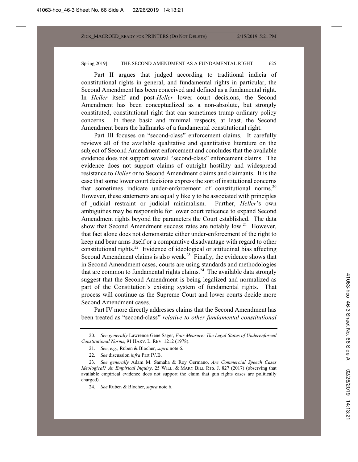Part II argues that judged according to traditional indicia of constitutional rights in general, and fundamental rights in particular, the Second Amendment has been conceived and defined as a fundamental right. In *Heller* itself and post-*Heller* lower court decisions, the Second Amendment has been conceptualized as a non-absolute, but strongly constituted, constitutional right that can sometimes trump ordinary policy concerns. In these basic and minimal respects, at least, the Second Amendment bears the hallmarks of a fundamental constitutional right.

Part III focuses on "second-class" enforcement claims. It carefully reviews all of the available qualitative and quantitative literature on the subject of Second Amendment enforcement and concludes that the available evidence does not support several "second-class" enforcement claims. The evidence does not support claims of outright hostility and widespread resistance to *Heller* or to Second Amendment claims and claimants. It is the case that some lower court decisions express the sort of institutional concerns that sometimes indicate under-enforcement of constitutional norms.<sup>20</sup> However, these statements are equally likely to be associated with principles of judicial restraint or judicial minimalism. Further, *Heller*'s own ambiguities may be responsible for lower court reticence to expand Second Amendment rights beyond the parameters the Court established. The data show that Second Amendment success rates are notably low.<sup>21</sup> However, that fact alone does not demonstrate either under-enforcement of the right to keep and bear arms itself or a comparative disadvantage with regard to other constitutional rights.<sup>22</sup> Evidence of ideological or attitudinal bias affecting Second Amendment claims is also weak.<sup>23</sup> Finally, the evidence shows that in Second Amendment cases, courts are using standards and methodologies that are common to fundamental rights claims.<sup>24</sup> The available data strongly suggest that the Second Amendment is being legalized and normalized as part of the Constitution's existing system of fundamental rights. That process will continue as the Supreme Court and lower courts decide more Second Amendment cases.

Part IV more directly addresses claims that the Second Amendment has been treated as "second-class" *relative to other fundamental constitutional* 

 <sup>20.</sup> *See generally* Lawrence Gene Sager, *Fair Measure: The Legal Status of Underenforced Constitutional Norms*, 91 HARV. L. REV. 1212 (1978).

 <sup>21.</sup> *See*, *e.g.*, Ruben & Blocher, *supra* note 6.

 <sup>22.</sup> *See* discussion *infra* Part IV.B.

 <sup>23.</sup> *See generally* Adam M. Samaha & Roy Germano, *Are Commercial Speech Cases Ideological? An Empirical Inquiry*, 25 WILL.&MARY BILL RTS. J. 827 (2017) (observing that available empirical evidence does not support the claim that gun rights cases are politically charged).

 <sup>24.</sup> *See* Ruben & Blocher, *supra* note 6.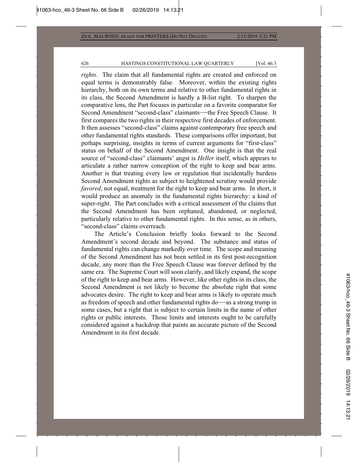*rights*. The claim that all fundamental rights are created and enforced on equal terms is demonstrably false. Moreover, within the existing rights hierarchy, both on its own terms and relative to other fundamental rights in its class, the Second Amendment is hardly a B-list right. To sharpen the comparative lens, the Part focuses in particular on a favorite comparator for Second Amendment "second-class" claimants—the Free Speech Clause. It first compares the two rights in their respective first decades of enforcement. It then assesses "second-class" claims against contemporary free speech and other fundamental rights standards. These comparisons offer important, but perhaps surprising, insights in terms of current arguments for "first-class" status on behalf of the Second Amendment. One insight is that the real source of "second-class" claimants' angst is *Heller* itself, which appears to articulate a rather narrow conception of the right to keep and bear arms. Another is that treating every law or regulation that incidentally burdens Second Amendment rights as subject to heightened scrutiny would provide *favored*, not equal, treatment for the right to keep and bear arms. In short, it would produce an anomaly in the fundamental rights hierarchy: a kind of super-right. The Part concludes with a critical assessment of the claims that the Second Amendment has been orphaned, abandoned, or neglected, particularly relative to other fundamental rights. In this sense, as in others, "second-class" claims overreach.

The Article's Conclusion briefly looks forward to the Second Amendment's second decade and beyond. The substance and status of fundamental rights can change markedly over time. The scope and meaning of the Second Amendment has not been settled in its first post-recognition decade, any more than the Free Speech Clause was forever defined by the same era. The Supreme Court will soon clarify, and likely expand, the scope of the right to keep and bear arms. However, like other rights in its class, the Second Amendment is not likely to become the absolute right that some advocates desire. The right to keep and bear arms is likely to operate much as freedom of speech and other fundamental rights do—as a strong trump in some cases, but a right that is subject to certain limits in the name of other rights or public interests. Those limits and interests ought to be carefully considered against a backdrop that paints an accurate picture of the Second Amendment in its first decade.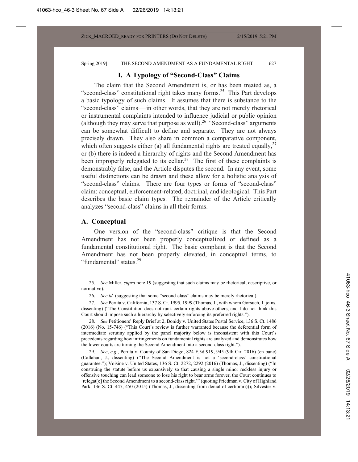# **I. A Typology of "Second-Class" Claims**

The claim that the Second Amendment is, or has been treated as, a "second-class" constitutional right takes many forms.<sup>25</sup> This Part develops a basic typology of such claims. It assumes that there is substance to the "second-class" claims—in other words, that they are not merely rhetorical or instrumental complaints intended to influence judicial or public opinion (although they may serve that purpose as well).<sup>26</sup> "Second-class" arguments can be somewhat difficult to define and separate. They are not always precisely drawn. They also share in common a comparative component, which often suggests either (a) all fundamental rights are treated equally,  $2^7$ or (b) there is indeed a hierarchy of rights and the Second Amendment has been improperly relegated to its cellar.<sup>28</sup> The first of these complaints is demonstrably false, and the Article disputes the second. In any event, some useful distinctions can be drawn and these allow for a holistic analysis of "second-class" claims. There are four types or forms of "second-class" claim: conceptual, enforcement-related, doctrinal, and ideological. This Part describes the basic claim types. The remainder of the Article critically analyzes "second-class" claims in all their forms.

# **A. Conceptual**

One version of the "second-class" critique is that the Second Amendment has not been properly conceptualized or defined as a fundamental constitutional right. The basic complaint is that the Second Amendment has not been properly elevated, in conceptual terms, to "fundamental" status.<sup>29</sup>

 <sup>25.</sup> *See* Miller, *supra* note 19 (suggesting that such claims may be rhetorical, descriptive, or normative).

 <sup>26.</sup> *See id.* (suggesting that some "second-class" claims may be merely rhetorical).

 <sup>27.</sup> *See* Peruta v. California, 137 S. Ct. 1995, 1999 (Thomas, J., with whom Gorsuch, J. joins, dissenting) ("The Constitution does not rank certain rights above others, and I do not think this Court should impose such a hierarchy by selectively enforcing its preferred rights.").

 <sup>28.</sup> *See* Petitioners' Reply Brief at 2, Bonidy v. United States Postal Service, 136 S. Ct. 1486 (2016) (No. 15-746) ("This Court's review is further warranted because the deferential form of intermediate scrutiny applied by the panel majority below is inconsistent with this Court's precedents regarding how infringements on fundamental rights are analyzed and demonstrates how the lower courts are turning the Second Amendment into a second-class right.").

 <sup>29.</sup> *See*, *e.g*., Peruta v. County of San Diego, 824 F.3d 919, 945 (9th Cir. 2016) (en banc) (Callahan, J., dissenting) ("The Second Amendment is not a 'second-class' constitutional guarantee."); Voisine v. United States, 136 S. Ct. 2272, 2292 (2016) (Thomas, J., dissenting) ("In construing the statute before us expansively so that causing a single minor reckless injury or offensive touching can lead someone to lose his right to bear arms forever, the Court continues to 'relegat[e] the Second Amendment to a second-class right.'" (quoting Friedman v. City of Highland Park, 136 S. Ct. 447, 450 (2015) (Thomas, J., dissenting from denial of certiorari))); Silvester v.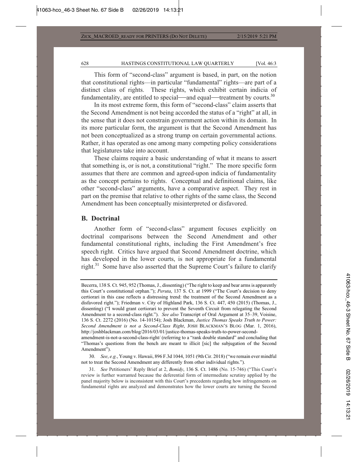This form of "second-class" argument is based, in part, on the notion that constitutional rights––in particular "fundamental" rights––are part of a distinct class of rights. These rights, which exhibit certain indicia of fundamentality, are entitled to special—and equal—treatment by courts.<sup>30</sup>

In its most extreme form, this form of "second-class" claim asserts that the Second Amendment is not being accorded the status of a "right" at all, in the sense that it does not constrain government action within its domain. In its more particular form, the argument is that the Second Amendment has not been conceptualized as a strong trump on certain governmental actions. Rather, it has operated as one among many competing policy considerations that legislatures take into account.

These claims require a basic understanding of what it means to assert that something is, or is not, a constitutional "right." The more specific form assumes that there are common and agreed-upon indicia of fundamentality as the concept pertains to rights. Conceptual and definitional claims, like other "second-class" arguments, have a comparative aspect. They rest in part on the premise that relative to other rights of the same class, the Second Amendment has been conceptually misinterpreted or disfavored.

#### **B. Doctrinal**

Another form of "second-class" argument focuses explicitly on doctrinal comparisons between the Second Amendment and other fundamental constitutional rights, including the First Amendment's free speech right. Critics have argued that Second Amendment doctrine, which has developed in the lower courts, is not appropriate for a fundamental right.<sup>31</sup> Some have also asserted that the Supreme Court's failure to clarify

Becerra, 138 S. Ct. 945, 952 (Thomas, J., dissenting) ("The right to keep and bear arms is apparently this Court's constitutional orphan."); *Peruta*, 137 S. Ct. at 1999 ("The Court's decision to deny certiorari in this case reflects a distressing trend: the treatment of the Second Amendment as a disfavored right."); Friedman v. City of Highland Park, 136 S. Ct. 447, 450 (2015) (Thomas, J., dissenting) ("I would grant certiorari to prevent the Seventh Circuit from relegating the Second Amendment to a second-class right."). *See also* Transcript of Oral Argument at 35–39, Voisine, 136 S. Ct. 2272 (2016) (No. 14-10154); Josh Blackman, *Justice Thomas Speaks Truth to Power: Second Amendment is not a Second-Class Right*, JOSH BLACKMAN'S BLOG (Mar. 1, 2016), http://joshblackman.com/blog/2016/03/01/justice-thomas-speaks-truth-to-power-second-

amendment-is-not-a-second-class-right/ (referring to a "rank double standard" and concluding that "Thomas's questions from the bench are meant to illicit [sic] the subjugation of the Second Amendment").

 <sup>30.</sup> *See*, *e.g.*, Young v. Hawaii, 896 F.3d 1044, 1051 (9th Cir. 2018) ("we remain ever mindful not to treat the Second Amendment any differently from other individual rights.").

 <sup>31.</sup> *See* Petitioners' Reply Brief at 2, *Bonidy*, 136 S. Ct. 1486 (No. 15-746) ("This Court's review is further warranted because the deferential form of intermediate scrutiny applied by the panel majority below is inconsistent with this Court's precedents regarding how infringements on fundamental rights are analyzed and demonstrates how the lower courts are turning the Second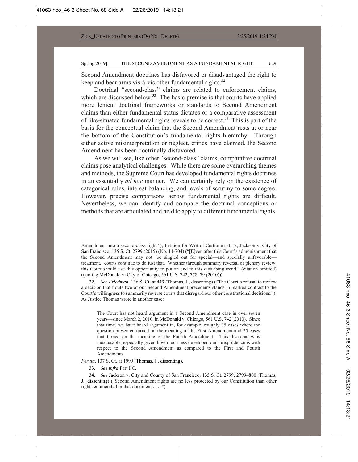Second Amendment doctrines has disfavored or disadvantaged the right to keep and bear arms vis-à-vis other fundamental rights.<sup>32</sup>

Doctrinal "second-class" claims are related to enforcement claims, which are discussed below.<sup>33</sup> The basic premise is that courts have applied more lenient doctrinal frameworks or standards to Second Amendment claims than either fundamental status dictates or a comparative assessment of like-situated fundamental rights reveals to be correct.<sup> $34$ </sup> This is part of the basis for the conceptual claim that the Second Amendment rests at or near the bottom of the Constitution's fundamental rights hierarchy. Through either active misinterpretation or neglect, critics have claimed, the Second Amendment has been doctrinally disfavored.

As we will see, like other "second-class" claims, comparative doctrinal claims pose analytical challenges. While there are some overarching themes and methods, the Supreme Court has developed fundamental rights doctrines in an essentially *ad hoc* manner. We can certainly rely on the existence of categorical rules, interest balancing, and levels of scrutiny to some degree. However, precise comparisons across fundamental rights are difficult. Nevertheless, we can identify and compare the doctrinal conceptions or methods that are articulated and held to apply to different fundamental rights.

The Court has not heard argument in a Second Amendment case in over seven years—since March 2, 2010, in McDonald v. Chicago, 561 U.S. 742 (2010). Since that time, we have heard argument in, for example, roughly 35 cases where the question presented turned on the meaning of the First Amendment and 25 cases that turned on the meaning of the Fourth Amendment. This discrepancy is inexcusable, especially given how much less developed our jurisprudence is with respect to the Second Amendment as compared to the First and Fourth Amendments.

*Peruta*, 137 S. Ct. at 1999 (Thomas, J., dissenting).

33. *See infra* Part I.C.

 34. *See* Jackson v. City and County of San Francisco, 135 S. Ct. 2799, 2799–800 (Thomas, J., dissenting) ("Second Amendment rights are no less protected by our Constitution than other rights enumerated in that document . . . .").

Amendment into a second-class right."); Petition for Writ of Certiorari at 12, Jackson v. City of San Francisco, 135 S. Ct. 2799 (2015) (No. 14-704) ("[E]ven after this Court's admonishment that the Second Amendment may not 'be singled out for special—and specially unfavorable treatment,' courts continue to do just that. Whether through summary reversal or plenary review, this Court should use this opportunity to put an end to this disturbing trend." (citation omitted) (quoting McDonald v. City of Chicago, 561 U.S. 742, 778–79 (2010))).

 <sup>32.</sup> *See Friedman*, 136 S. Ct. at 449 (Thomas, J., dissenting) ("The Court's refusal to review a decision that flouts two of our Second Amendment precedents stands in marked contrast to the Court's willingness to summarily reverse courts that disregard our other constitutional decisions."). As Justice Thomas wrote in another case: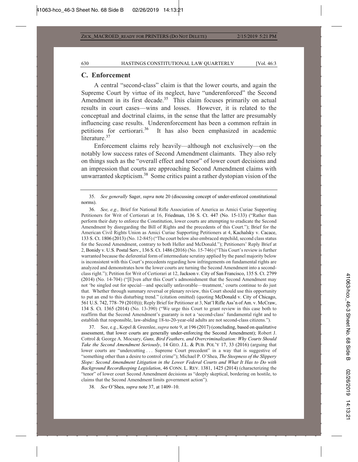## **C. Enforcement**

A central "second-class" claim is that the lower courts, and again the Supreme Court by virtue of its neglect, have "underenforced" the Second Amendment in its first decade.<sup>35</sup> This claim focuses primarily on actual results in court cases––wins and losses. However, it is related to the conceptual and doctrinal claims, in the sense that the latter are presumably influencing case results. Underenforcement has been a common refrain in petitions for certiorari.<sup>36</sup> It has also been emphasized in academic literature<sup>37</sup>

Enforcement claims rely heavily––although not exclusively––on the notably low success rates of Second Amendment claimants. They also rely on things such as the "overall effect and tenor" of lower court decisions and an impression that courts are approaching Second Amendment claims with unwarranted skepticism.38 Some critics paint a rather dystopian vision of the

 37. See, e.g., Kopel & Greenlee, *supra* note 9, at 196 (2017) (concluding, based on qualitative assessment, that lower courts are generally under-enforcing the Second Amendment); Robert J. Cottrol & George A. Mocsary, *Guns, Bird Feathers, and Overcriminalization: Why Courts Should Take the Second Amendment Seriously*, 14 GEO. J.L. & PUB. POL'Y 17, 33 (2016) (arguing that lower courts are "undercutting ... Supreme Court precedent" in a way that is suggestive of "something other than a desire to control crime"); Michael P. O'Shea, *The Steepness of the Slippery Slope: Second Amendment Litigation in the Lower Federal Courts and What It Has to Do with Background Recordkeeping Legislation*, 46 CONN. L. REV. 1381, 1425 (2014) (characterizing the "tenor" of lower court Second Amendment decisions as "deeply skeptical, bordering on hostile, to claims that the Second Amendment limits government action").

38. *See* O'Shea, *supra* note 37, at 1409–10.

 <sup>35.</sup> *See generally* Sager, *supra* note 20 (discussing concept of under-enforced constitutional norms).

 <sup>36.</sup> *See, e.g.,* Brief for National Rifle Association of America as Amici Curiae Supporting Petitioners for Writ of Certiorari at 16, Friedman, 136 S. Ct. 447 (No. 15-133) ("Rather than perform their duty to enforce the Constitution, lower courts are attempting to eradicate the Second Amendment by disregarding the Bill of Rights and the precedents of this Court."); Brief for the American Civil Rights Union as Amici Curiae Supporting Petitioners at 4, Kachalsky v. Cacace, 133 S. Ct. 1806 (2013) (No. 12-845) ("The court below also embraced stepchild, second class status for the Second Amendment, contrary to both Heller and McDonald."); Petitioners' Reply Brief at 2, Bonidy v. U.S. Postal Serv., 136 S. Ct. 1486 (2016) (No. 15-746) ("This Court's review is further warranted because the deferential form of intermediate scrutiny applied by the panel majority below is inconsistent with this Court's precedents regarding how infringements on fundamental rights are analyzed and demonstrates how the lower courts are turning the Second Amendment into a secondclass right."); Petition for Writ of Certiorari at 12, Jackson v. City of San Francisco, 135 S. Ct. 2799 (2014) (No. 14-704) ("[E]ven after this Court's admonishment that the Second Amendment may not 'be singled out for special—and specially unfavorable—treatment,' courts continue to do just that. Whether through summary reversal or plenary review, this Court should use this opportunity to put an end to this disturbing trend." (citation omitted) (quoting McDonald v. City of Chicago, 561 U.S. 742, 778–79 (2010))); Reply Brief for Petitioner at 3, Nat'l Rifle Ass'n of Am. v. McCraw, 134 S. Ct. 1365 (2014) (No. 13-390) ("We urge this Court to grant review in this case both to reaffirm that the Second Amendment's guaranty is not a 'second-class' fundamental right and to establish that responsible, law-abiding 18-to-20-year-old adults are not second-class citizens.").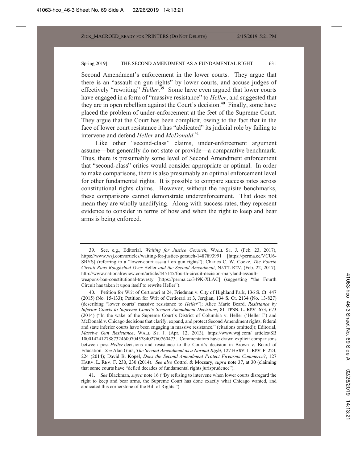Second Amendment's enforcement in the lower courts. They argue that there is an "assault on gun rights" by lower courts, and accuse judges of effectively "rewriting" *Heller*. 39 Some have even argued that lower courts have engaged in a form of "massive resistance" to *Heller*, and suggested that they are in open rebellion against the Court's decision.<sup>40</sup> Finally, some have placed the problem of under-enforcement at the feet of the Supreme Court. They argue that the Court has been complicit, owing to the fact that in the face of lower court resistance it has "abdicated" its judicial role by failing to intervene and defend *Heller* and *McDonald*. 41

 Like other "second-class" claims, under-enforcement argument assume––but generally do not state or provide––a comparative benchmark. Thus, there is presumably some level of Second Amendment enforcement that "second-class" critics would consider appropriate or optimal. In order to make comparisons, there is also presumably an optimal enforcement level for other fundamental rights. It is possible to compare success rates across constitutional rights claims. However, without the requisite benchmarks, these comparisons cannot demonstrate underenforcement. That does not mean they are wholly unedifying. Along with success rates, they represent evidence to consider in terms of how and when the right to keep and bear arms is being enforced.

<sup>39.</sup> See, e.g., Editorial, *Waiting for Justice Gorsuch*, WALL ST. J. (Feb. 23, 2017), https://www.wsj.com/articles/waiting-for-justice-gorsuch-1487893991 [https://perma.cc/VCU6- SBYS] (referring to a "lower-court assault on gun rights"); Charles C. W. Cooke, *The Fourth Circuit Runs Roughshod Over* Heller *and the Second Amendment*, NAT'L REV. (Feb. 22, 2017), http://www.nationalreview.com/article/445145/fourth-circuit-decision-maryland-assaultweapons-ban-constitutional-travesty [https://perma.cc/349K-XLAC] (suggesting "the Fourth

Circuit has taken it upon itself to rewrite Heller").

 <sup>40.</sup> Petition for Writ of Certiorari at 24, Friedman v. City of Highland Park, 136 S. Ct. 447 (2015) (No. 15-133); Petition for Writ of Certiorari at 3, Jerejian, 134 S. Ct. 2134 (No. 13-827) (describing "lower courts' massive resistance to *Heller*"); Alice Marie Beard, *Resistance by Inferior Courts to Supreme Court's Second Amendment Decisions*, 81 TENN. L. REV. 673, 673 (2014) ("In the wake of the Supreme Court's District of Columbia v. Heller ('Heller I') and McDonald v. Chicago decisions that clarify, expand, and protect Second Amendment rights, federal and state inferior courts have been engaging in massive resistance." (citations omitted)); Editorial, *Massive Gun Resistance*, WALL ST. J. (Apr. 12, 2013), https://www.wsj.com/ articles/SB 10001424127887324600704578402760760473. Commentators have drawn explicit comparisons between post-*Heller* decisions and resistance to the Court's decision in Brown v. Board of Education. *See* Alan Gura, *The Second Amendment as a Normal Right*, 127 HARV. L. REV. F. 223, 224 (2014); David B. Kopel, *Does the Second Amendment Protect Firearms Commerce*?, 127 HARV. L. REV. F. 230, 230 (2014). *See also* Cottrol & Mocsary, *supra* note 37, at 30 (claiming that some courts have "defied decades of fundamental rights jurisprudence").

 <sup>41.</sup> *See* Blackman, *supra* note 16 ("By refusing to intervene when lower courts disregard the right to keep and bear arms, the Supreme Court has done exactly what Chicago wanted, and abdicated this cornerstone of the Bill of Rights.").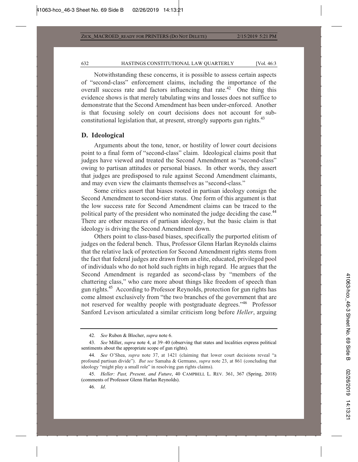Notwithstanding these concerns, it is possible to assess certain aspects of "second-class" enforcement claims, including the importance of the overall success rate and factors influencing that rate.<sup>42</sup> One thing this evidence shows is that merely tabulating wins and losses does not suffice to demonstrate that the Second Amendment has been under-enforced. Another is that focusing solely on court decisions does not account for subconstitutional legislation that, at present, strongly supports gun rights.<sup>43</sup>

# **D. Ideological**

Arguments about the tone, tenor, or hostility of lower court decisions point to a final form of "second-class" claim. Ideological claims posit that judges have viewed and treated the Second Amendment as "second-class" owing to partisan attitudes or personal biases. In other words, they assert that judges are predisposed to rule against Second Amendment claimants, and may even view the claimants themselves as "second-class."

Some critics assert that biases rooted in partisan ideology consign the Second Amendment to second-tier status. One form of this argument is that the low success rate for Second Amendment claims can be traced to the political party of the president who nominated the judge deciding the case.<sup>44</sup> There are other measures of partisan ideology, but the basic claim is that ideology is driving the Second Amendment down.

Others point to class-based biases, specifically the purported elitism of judges on the federal bench. Thus, Professor Glenn Harlan Reynolds claims that the relative lack of protection for Second Amendment rights stems from the fact that federal judges are drawn from an elite, educated, privileged pool of individuals who do not hold such rights in high regard. He argues that the Second Amendment is regarded as second-class by "members of the chattering class," who care more about things like freedom of speech than gun rights.45 According to Professor Reynolds, protection for gun rights has come almost exclusively from "the two branches of the government that are not reserved for wealthy people with postgraduate degrees."<sup>46</sup> Professor Sanford Levison articulated a similar criticism long before *Heller*, arguing

 <sup>42.</sup> *See* Ruben & Blocher, *supra* note 6.

 <sup>43.</sup> *See* Miller, *supra* note 4, at 39–40 (observing that states and localities express political sentiments about the appropriate scope of gun rights).

 <sup>44.</sup> *See* O'Shea, *supra* note 37, at 1421 (claiming that lower court decisions reveal "a profound partisan divide"). *But see* Samaha & Germano, *supra* note 23, at 861 (concluding that ideology "might play a small role" in resolving gun rights claims).

 <sup>45.</sup> *Heller: Past, Present, and Future*, 40 CAMPBELL L. REV. 361, 367 (Spring, 2018) (comments of Professor Glenn Harlan Reynolds).

 <sup>46.</sup> *Id*.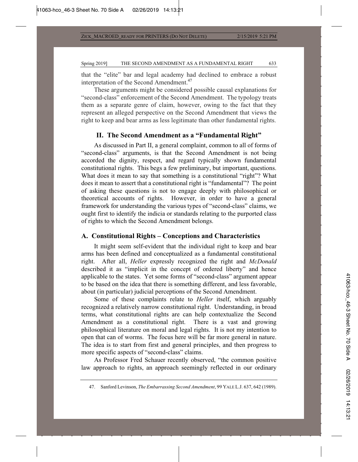that the "elite" bar and legal academy had declined to embrace a robust interpretation of the Second Amendment.<sup>47</sup>

These arguments might be considered possible causal explanations for "second-class" enforcement of the Second Amendment. The typology treats them as a separate genre of claim, however, owing to the fact that they represent an alleged perspective on the Second Amendment that views the right to keep and bear arms as less legitimate than other fundamental rights.

# **II. The Second Amendment as a "Fundamental Right"**

As discussed in Part II, a general complaint, common to all of forms of "second-class" arguments, is that the Second Amendment is not being accorded the dignity, respect, and regard typically shown fundamental constitutional rights. This begs a few preliminary, but important, questions. What does it mean to say that something is a constitutional "right"? What does it mean to assert that a constitutional right is "fundamental"? The point of asking these questions is not to engage deeply with philosophical or theoretical accounts of rights. However, in order to have a general framework for understanding the various types of "second-class" claims, we ought first to identify the indicia or standards relating to the purported class of rights to which the Second Amendment belongs.

# **A. Constitutional Rights – Conceptions and Characteristics**

It might seem self-evident that the individual right to keep and bear arms has been defined and conceptualized as a fundamental constitutional right. After all, *Heller* expressly recognized the right and *McDonald* described it as "implicit in the concept of ordered liberty" and hence applicable to the states. Yet some forms of "second-class" argument appear to be based on the idea that there is something different, and less favorable, about (in particular) judicial perceptions of the Second Amendment.

Some of these complaints relate to *Heller* itself, which arguably recognized a relatively narrow constitutional right. Understanding, in broad terms, what constitutional rights are can help contextualize the Second Amendment as a constitutional right. There is a vast and growing philosophical literature on moral and legal rights. It is not my intention to open that can of worms. The focus here will be far more general in nature. The idea is to start from first and general principles, and then progress to more specific aspects of "second-class" claims.

As Professor Fred Schauer recently observed, "the common positive law approach to rights, an approach seemingly reflected in our ordinary

 <sup>47.</sup> Sanford Levinson, *The Embarrassing Second Amendment*, 99 YALE L.J. 637, 642 (1989).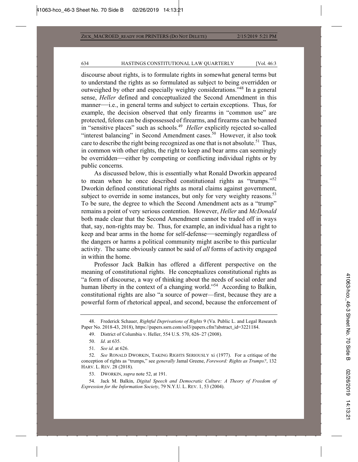discourse about rights, is to formulate rights in somewhat general terms but to understand the rights as so formulated as subject to being overridden or outweighed by other and especially weighty considerations."48 In a general sense, *Heller* defined and conceptualized the Second Amendment in this manner—i.e., in general terms and subject to certain exceptions. Thus, for example, the decision observed that only firearms in "common use" are protected, felons can be dispossessed of firearms, and firearms can be banned in "sensitive places" such as schools.<sup>49</sup> *Heller* explicitly rejected so-called "interest balancing" in Second Amendment cases.<sup>50</sup> However, it also took care to describe the right being recognized as one that is not absolute.<sup>51</sup> Thus, in common with other rights, the right to keep and bear arms can seemingly be overridden—either by competing or conflicting individual rights or by public concerns.

As discussed below, this is essentially what Ronald Dworkin appeared to mean when he once described constitutional rights as "trumps."<sup>52</sup> Dworkin defined constitutional rights as moral claims against government, subject to override in some instances, but only for very weighty reasons.<sup>53</sup> To be sure, the degree to which the Second Amendment acts as a "trump" remains a point of very serious contention. However, *Heller* and *McDonald* both made clear that the Second Amendment cannot be traded off in ways that, say, non-rights may be. Thus, for example, an individual has a right to keep and bear arms in the home for self-defense—seemingly regardless of the dangers or harms a political community might ascribe to this particular activity. The same obviously cannot be said of *all* forms of activity engaged in within the home.

Professor Jack Balkin has offered a different perspective on the meaning of constitutional rights. He conceptualizes constitutional rights as "a form of discourse, a way of thinking about the needs of social order and human liberty in the context of a changing world."<sup>54</sup> According to Balkin, constitutional rights are also "a source of power—first, because they are a powerful form of rhetorical appeal, and second, because the enforcement of

51. *See id*. at 626.

 <sup>48.</sup> Frederick Schauer, *Rightful Deprivations of Rights* 9 (Va. Public L. and Legal Research Paper No. 2018-43, 2018), https://papers.ssrn.com/sol3/papers.cfm?abstract\_id=3221184.

 <sup>49.</sup> District of Columbia v. Heller, 554 U.S. 570, 626–27 (2008).

 <sup>50.</sup> *Id*. at 635.

 <sup>52.</sup> *See* RONALD DWORKIN, TAKING RIGHTS SERIOUSLY xi (1977). For a critique of the conception of rights as "trumps," see *generally* Jamal Greene, *Foreword: Rights as Trumps?*, 132 HARV. L. REV. 28 (2018).

 <sup>53.</sup> DWORKIN, *supra* note 52, at 191.

 <sup>54.</sup> Jack M. Balkin, *Digital Speech and Democratic Culture: A Theory of Freedom of Expression for the Information Society*, 79 N.Y.U. L. REV. 1, 53 (2004).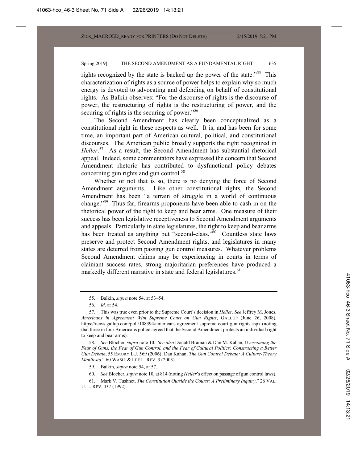rights recognized by the state is backed up the power of the state."55 This characterization of rights as a source of power helps to explain why so much energy is devoted to advocating and defending on behalf of constitutional rights. As Balkin observes: "For the discourse of rights is the discourse of power, the restructuring of rights is the restructuring of power, and the securing of rights is the securing of power."<sup>56</sup>

The Second Amendment has clearly been conceptualized as a constitutional right in these respects as well. It is, and has been for some time, an important part of American cultural, political, and constitutional discourses. The American public broadly supports the right recognized in *Heller*. 57 As a result, the Second Amendment has substantial rhetorical appeal. Indeed, some commentators have expressed the concern that Second Amendment rhetoric has contributed to dysfunctional policy debates concerning gun rights and gun control.<sup>58</sup>

Whether or not that is so, there is no denying the force of Second Amendment arguments. Like other constitutional rights, the Second Amendment has been "a terrain of struggle in a world of continuous change."<sup>59</sup> Thus far, firearms proponents have been able to cash in on the rhetorical power of the right to keep and bear arms. One measure of their success has been legislative receptiveness to Second Amendment arguments and appeals. Particularly in state legislatures, the right to keep and bear arms has been treated as anything but "second-class."<sup>60</sup> Countless state laws preserve and protect Second Amendment rights, and legislatures in many states are deterred from passing gun control measures. Whatever problems Second Amendment claims may be experiencing in courts in terms of claimant success rates, strong majoritarian preferences have produced a markedly different narrative in state and federal legislatures.<sup>61</sup>

 58. *See* Blocher, *supra* note 10. *See also* Donald Braman & Dan M. Kahan, *Overcoming the Fear of Guns, the Fear of Gun Control, and the Fear of Cultural Politics: Constructing a Better Gun Debate*, 55 EMORY L.J. 569 (2006); Dan Kahan, *The Gun Control Debate: A Culture-Theory Manifesto*," 60 WASH.&LEE L. REV. 3 (2003).

59. Balkin, *supra* note 54, at 57.

60. *See* Blocher, *supra* note 10, at 814 (noting *Heller*'s effect on passage of gun control laws).

 61. Mark V. Tushnet, *The Constitution Outside the Courts: A Preliminary Inquiry*," 26 VAL. U. L. REV. 437 (1992).

 <sup>55.</sup> Balkin, *supra* note 54, at 53–54.

 <sup>56.</sup> *Id*. at 54.

 <sup>57.</sup> This was true even prior to the Supreme Court's decision in *Heller*. *See* Jeffrey M. Jones, *Americans in Agreement With Supreme Court on Gun Rights*, GALLUP (June 26, 2008), https://news.gallup.com/poll/108394/americans-agreement-supreme-court-gun-rights.aspx (noting that three in four Americans polled agreed that the Second Amendment protects an individual right to keep and bear arms).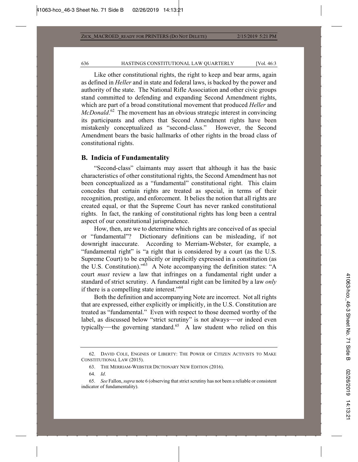Like other constitutional rights, the right to keep and bear arms, again as defined in *Heller* and in state and federal laws, is backed by the power and authority of the state. The National Rifle Association and other civic groups stand committed to defending and expanding Second Amendment rights, which are part of a broad constitutional movement that produced *Heller* and *McDonald*.<sup>62</sup> The movement has an obvious strategic interest in convincing its participants and others that Second Amendment rights have been mistakenly conceptualized as "second-class." However, the Second Amendment bears the basic hallmarks of other rights in the broad class of constitutional rights.

# **B. Indicia of Fundamentality**

"Second-class" claimants may assert that although it has the basic characteristics of other constitutional rights, the Second Amendment has not been conceptualized as a "fundamental" constitutional right. This claim concedes that certain rights are treated as special, in terms of their recognition, prestige, and enforcement. It belies the notion that all rights are created equal, or that the Supreme Court has never ranked constitutional rights. In fact, the ranking of constitutional rights has long been a central aspect of our constitutional jurisprudence.

How, then, are we to determine which rights are conceived of as special or "fundamental"? Dictionary definitions can be misleading, if not downright inaccurate. According to Merriam-Webster, for example, a "fundamental right" is "a right that is considered by a court (as the U.S. Supreme Court) to be explicitly or implicitly expressed in a constitution (as the U.S. Constitution)."63 A Note accompanying the definition states: "A court *must* review a law that infringes on a fundamental right under a standard of strict scrutiny. A fundamental right can be limited by a law *only* if there is a compelling state interest."<sup>64</sup>

Both the definition and accompanying Note are incorrect. Not all rights that are expressed, either explicitly or implicitly, in the U.S. Constitution are treated as "fundamental." Even with respect to those deemed worthy of the label, as discussed below "strict scrutiny" is not always—or indeed even typically—the governing standard.<sup>65</sup> A law student who relied on this

 <sup>62.</sup> DAVID COLE, ENGINES OF LIBERTY: THE POWER OF CITIZEN ACTIVISTS TO MAKE CONSTITUTIONAL LAW (2015).

 <sup>63.</sup> THE MERRIAM-WEBSTER DICTIONARY NEW EDITION (2016).

 <sup>64.</sup> *Id*.

 <sup>65.</sup> *See* Fallon, *supra* note 6 (observing that strict scrutiny has not been a reliable or consistent indicator of fundamentality).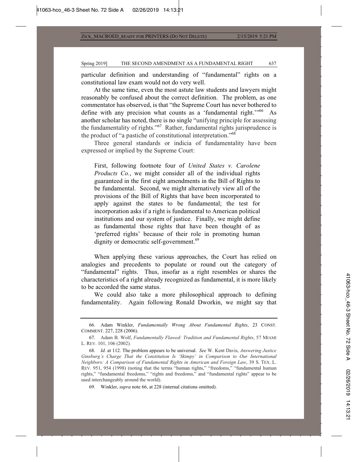particular definition and understanding of "fundamental" rights on a constitutional law exam would not do very well.

At the same time, even the most astute law students and lawyers might reasonably be confused about the correct definition. The problem, as one commentator has observed, is that "the Supreme Court has never bothered to define with any precision what counts as a 'fundamental right."<sup>66</sup> As another scholar has noted, there is no single "unifying principle for assessing the fundamentality of rights."67 Rather, fundamental rights jurisprudence is the product of "a pastiche of constitutional interpretation."68

Three general standards or indicia of fundamentality have been expressed or implied by the Supreme Court:

First, following footnote four of *United States v. Carolene Products Co.*, we might consider all of the individual rights guaranteed in the first eight amendments in the Bill of Rights to be fundamental. Second, we might alternatively view all of the provisions of the Bill of Rights that have been incorporated to apply against the states to be fundamental; the test for incorporation asks if a right is fundamental to American political institutions and our system of justice. Finally, we might define as fundamental those rights that have been thought of as 'preferred rights' because of their role in promoting human dignity or democratic self-government.<sup>69</sup>

When applying these various approaches, the Court has relied on analogies and precedents to populate or round out the category of "fundamental" rights. Thus, insofar as a right resembles or shares the characteristics of a right already recognized as fundamental, it is more likely to be accorded the same status.

We could also take a more philosophical approach to defining fundamentality. Again following Ronald Dworkin, we might say that

 <sup>66.</sup> Adam Winkler, *Fundamentally Wrong About Fundamental Rights*, 23 CONST. COMMENT. 227, 228 (2006).

 <sup>67.</sup> Adam B. Wolf, *Fundamentally Flawed: Tradition and Fundamental Rights*, 57 MIAMI L. REV. 101, 106 (2002).

 <sup>68.</sup> *Id.* at 112. The problem appears to be universal. *See* W. Kent Davis, *Answering Justice Ginsburg's Charge That the Constitution Is 'Skimpy' in Comparison to Our International Neighbors: A Comparison of Fundamental Rights in American and Foreign Law*, 39 S. TEX. L. REV. 951, 954 (1998) (noting that the terms "human rights," "freedoms," "fundamental human rights," "fundamental freedoms," "rights and freedoms," and "fundamental rights" appear to be used interchangeably around the world).

 <sup>69.</sup> Winkler, *supra* note 66, at 228 (internal citations omitted).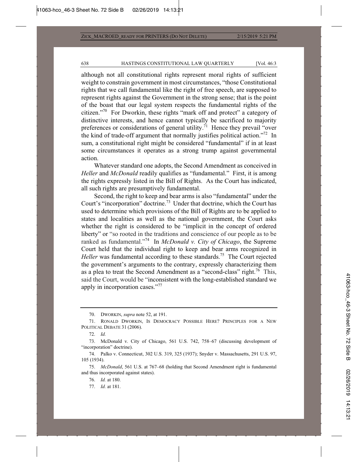although not all constitutional rights represent moral rights of sufficient weight to constrain government in most circumstances, "those Constitutional rights that we call fundamental like the right of free speech, are supposed to represent rights against the Government in the strong sense; that is the point of the boast that our legal system respects the fundamental rights of the citizen."70 For Dworkin, these rights "mark off and protect" a category of distinctive interests, and hence cannot typically be sacrificed to majority preferences or considerations of general utility.<sup>71</sup> Hence they prevail "over the kind of trade-off argument that normally justifies political action."72 In sum, a constitutional right might be considered "fundamental" if in at least some circumstances it operates as a strong trump against governmental action.

Whatever standard one adopts, the Second Amendment as conceived in *Heller* and *McDonald* readily qualifies as "fundamental." First, it is among the rights expressly listed in the Bill of Rights. As the Court has indicated, all such rights are presumptively fundamental.

Second, the right to keep and bear arms is also "fundamental" under the Court's "incorporation" doctrine.<sup>73</sup> Under that doctrine, which the Court has used to determine which provisions of the Bill of Rights are to be applied to states and localities as well as the national government, the Court asks whether the right is considered to be "implicit in the concept of ordered liberty" or "so rooted in the traditions and conscience of our people as to be ranked as fundamental."74 In *McDonald v. City of Chicago*, the Supreme Court held that the individual right to keep and bear arms recognized in *Heller* was fundamental according to these standards.<sup>75</sup> The Court rejected the government's arguments to the contrary, expressly characterizing them as a plea to treat the Second Amendment as a "second-class" right.<sup>76</sup> This, said the Court, would be "inconsistent with the long-established standard we apply in incorporation cases."<sup>77</sup>

70. DWORKIN, *supra* note 52, at 191.

 74. Palko v. Connecticut, 302 U.S. 319, 325 (1937); Snyder v. Massachusetts, 291 U.S. 97, 105 (1934).

 75. *McDonald*, 561 U.S. at 767–68 (holding that Second Amendment right is fundamental and thus incorporated against states).

76. *Id.* at 180.

77. *Id.* at 181.

 <sup>71.</sup> RONALD DWORKIN, IS DEMOCRACY POSSIBLE HERE? PRINCIPLES FOR A NEW POLITICAL DEBATE 31 (2006).

 <sup>72.</sup> *Id.*

 <sup>73.</sup> McDonald v. City of Chicago, 561 U.S. 742, 758–67 (discussing development of "incorporation" doctrine).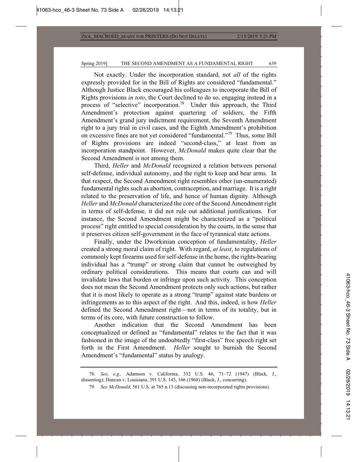Not exactly. Under the incorporation standard, not *all* of the rights expressly provided for in the Bill of Rights are considered "fundamental." Although Justice Black encouraged his colleagues to incorporate the Bill of Rights provisions *in toto*, the Court declined to do so, engaging instead in a process of "selective" incorporation.<sup>78</sup> Under this approach, the Third Amendment's protection against quartering of soldiers, the Fifth Amendment's grand jury indictment requirement, the Seventh Amendment right to a jury trial in civil cases, and the Eighth Amendment's prohibition on excessive fines are not yet considered "fundamental."79 Thus, some Bill of Rights provisions are indeed "second-class," at least from an incorporation standpoint. However, *McDonald* makes quite clear that the Second Amendment is not among them.

Third, *Heller* and *McDonald* recognized a relation between personal self-defense, individual autonomy, and the right to keep and bear arms. In that respect, the Second Amendment right resembles other (un-enumerated) fundamental rights such as abortion, contraception, and marriage. It is a right related to the preservation of life, and hence of human dignity. Although *Heller* and *McDonald* characterized the core of the Second Amendment right in terms of self-defense, it did not rule out additional justifications. For instance, the Second Amendment might be characterized as a "political process" right entitled to special consideration by the courts, in the sense that it preserves citizen self-government in the face of tyrannical state actions.

Finally, under the Dworkinian conception of fundamentality, *Heller* created a strong moral claim of right. With regard, *at least*, to regulations of commonly kept firearms used for self-defense in the home, the rights-bearing individual has a "trump" or strong claim that cannot be outweighed by ordinary political considerations. This means that courts can and will invalidate laws that burden or infringe upon such activity. This conception does not mean the Second Amendment protects only such actions, but rather that it is most likely to operate as a strong "trump" against state burdens or infringements as to this aspect of the right. And this, indeed, is how *Heller* defined the Second Amendment right––not in terms of its totality, but in terms of its core, with future construction to follow.

Another indication that the Second Amendment has been conceptualized or defined as "fundamental" relates to the fact that it was fashioned in the image of the undoubtedly "first-class" free speech right set forth in the First Amendment. *Heller* sought to burnish the Second Amendment's "fundamental" status by analogy.

 <sup>78.</sup> *See*, *e.g.,* Adamson v. California, 332 U.S. 46, 71–72 (1947) (Black, J., dissenting); Duncan v. Louisiana, 391 U.S. 145, 166 (1968) (Black, J., concurring).

<sup>79</sup>*. See McDonald*, 561 U.S. at 765 n.13 (discussing non-incorporated rights provisions).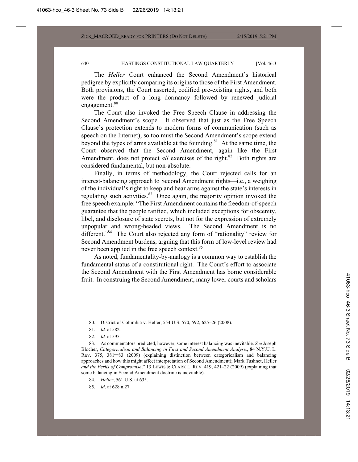The *Heller* Court enhanced the Second Amendment's historical pedigree by explicitly comparing its origins to those of the First Amendment. Both provisions, the Court asserted, codified pre-existing rights, and both were the product of a long dormancy followed by renewed judicial engagement.<sup>80</sup>

The Court also invoked the Free Speech Clause in addressing the Second Amendment's scope. It observed that just as the Free Speech Clause's protection extends to modern forms of communication (such as speech on the Internet), so too must the Second Amendment's scope extend beyond the types of arms available at the founding.<sup>81</sup> At the same time, the Court observed that the Second Amendment, again like the First Amendment, does not protect *all* exercises of the right.<sup>82</sup> Both rights are considered fundamental, but non-absolute.

Finally, in terms of methodology, the Court rejected calls for an interest-balancing approach to Second Amendment rights—i.e., a weighing of the individual's right to keep and bear arms against the state's interests in regulating such activities. $83$  Once again, the majority opinion invoked the free speech example: "The First Amendment contains the freedom-of-speech guarantee that the people ratified, which included exceptions for obscenity, libel, and disclosure of state secrets, but not for the expression of extremely unpopular and wrong-headed views. The Second Amendment is no different."84 The Court also rejected any form of "rationality" review for Second Amendment burdens, arguing that this form of low-level review had never been applied in the free speech context.<sup>85</sup>

As noted, fundamentality-by-analogy is a common way to establish the fundamental status of a constitutional right. The Court's effort to associate the Second Amendment with the First Amendment has borne considerable fruit. In construing the Second Amendment, many lower courts and scholars

82. *Id.* at 595.

 83. As commentators predicted, however, some interest balancing was inevitable. *See* Joseph Blocher, *Categoricalism and Balancing in First and Second Amendment Analysis*, 84 N.Y.U. L. REV. 375, 381–83 (2009) (explaining distinction between categoricalism and balancing approaches and how this might affect interpretation of Second Amendment); Mark Tushnet, Heller *and the Perils of Compromise*," 13 LEWIS & CLARK L. REV. 419, 421–22 (2009) (explaining that some balancing in Second Amendment doctrine is inevitable).

- 84. *Heller*, 561 U.S. at 635.
- 85. *Id*. at 628 n.27.

 <sup>80.</sup> District of Columbia v. Heller, 554 U.S. 570, 592, 625–26 (2008).

 <sup>81.</sup> *Id.* at 582.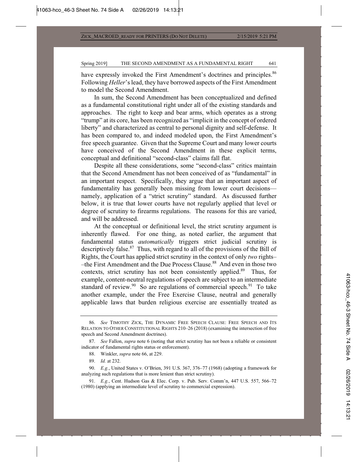have expressly invoked the First Amendment's doctrines and principles.<sup>86</sup> Following *Heller*'s lead, they have borrowed aspects of the First Amendment to model the Second Amendment.

In sum, the Second Amendment has been conceptualized and defined as a fundamental constitutional right under all of the existing standards and approaches. The right to keep and bear arms, which operates as a strong "trump" at its core, has been recognized as "implicit in the concept of ordered liberty" and characterized as central to personal dignity and self-defense. It has been compared to, and indeed modeled upon, the First Amendment's free speech guarantee. Given that the Supreme Court and many lower courts have conceived of the Second Amendment in these explicit terms, conceptual and definitional "second-class" claims fall flat.

Despite all these considerations, some "second-class" critics maintain that the Second Amendment has not been conceived of as "fundamental" in an important respect. Specifically, they argue that an important aspect of fundamentality has generally been missing from lower court decisions–– namely, application of a "strict scrutiny" standard. As discussed further below, it is true that lower courts have not regularly applied that level or degree of scrutiny to firearms regulations. The reasons for this are varied, and will be addressed.

At the conceptual or definitional level, the strict scrutiny argument is inherently flawed. For one thing, as noted earlier, the argument that fundamental status *automatically* triggers strict judicial scrutiny is descriptively false. $87$  Thus, with regard to all of the provisions of the Bill of Rights, the Court has applied strict scrutiny in the context of only *two* rights– –the First Amendment and the Due Process Clause.<sup>88</sup> And even in those two contexts, strict scrutiny has not been consistently applied.<sup>89</sup> Thus, for example, content-neutral regulations of speech are subject to an intermediate standard of review. $90\degree$  So are regulations of commercial speech. $91\degree$  To take another example, under the Free Exercise Clause, neutral and generally applicable laws that burden religious exercise are essentially treated as

 <sup>86.</sup> *See* TIMOTHY ZICK, THE DYNAMIC FREE SPEECH CLAUSE: FREE SPEECH AND ITS RELATION TO OTHER CONSTITUTIONAL RIGHTS 210–26 (2018) (examining the intersection of free speech and Second Amendment doctrines).

 <sup>87.</sup> *See* Fallon, *supra* note 6 (noting that strict scrutiny has not been a reliable or consistent indicator of fundamental rights status or enforcement).

 <sup>88.</sup> Winkler, *supra* note 66, at 229.

 <sup>89.</sup> *Id.* at 232.

 <sup>90.</sup> *E.g.*, United States v. O'Brien, 391 U.S. 367, 376–77 (1968) (adopting a framework for analyzing such regulations that is more lenient than strict scrutiny).

 <sup>91.</sup> *E.g.*, Cent. Hudson Gas & Elec. Corp. v. Pub. Serv. Comm'n, 447 U.S. 557, 566–72 (1980) (applying an intermediate level of scrutiny to commercial expression).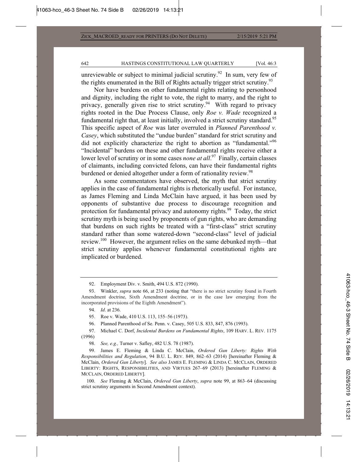unreviewable or subject to minimal judicial scrutiny.<sup>92</sup> In sum, very few of the rights enumerated in the Bill of Rights actually trigger strict scrutiny.<sup>93</sup>

Nor have burdens on other fundamental rights relating to personhood and dignity, including the right to vote, the right to marry, and the right to privacy, generally given rise to strict scrutiny.<sup>94</sup> With regard to privacy rights rooted in the Due Process Clause, only *Roe v. Wade* recognized a fundamental right that, at least initially, involved a strict scrutiny standard.<sup>95</sup> This specific aspect of *Roe* was later overruled in *Planned Parenthood v. Casey*, which substituted the "undue burden" standard for strict scrutiny and did not explicitly characterize the right to abortion as "fundamental."96 "Incidental" burdens on these and other fundamental rights receive either a lower level of scrutiny or in some cases *none at all*.<sup>97</sup> Finally, certain classes of claimants, including convicted felons, can have their fundamental rights burdened or denied altogether under a form of rationality review.<sup>98</sup>

As some commentators have observed, the myth that strict scrutiny applies in the case of fundamental rights is rhetorically useful. For instance, as James Fleming and Linda McClain have argued, it has been used by opponents of substantive due process to discourage recognition and protection for fundamental privacy and autonomy rights.<sup>99</sup> Today, the strict scrutiny myth is being used by proponents of gun rights, who are demanding that burdens on such rights be treated with a "first-class" strict scrutiny standard rather than some watered-down "second-class" level of judicial review.100 However, the argument relies on the same debunked myth––that strict scrutiny applies whenever fundamental constitutional rights are implicated or burdened.

92. Employment Div. v. Smith, 494 U.S. 872 (1990).

 97. Michael C. Dorf, *Incidental Burdens on Fundamental Rights*, 109 HARV. L. REV. 1175 (1996)

98. *See, e.g.,* Turner v. Safley, 482 U.S. 78 (1987).

 99. James E. Fleming & Linda C. McClain, *Ordered Gun Liberty: Rights With Responsibilities and Regulation*, 94 B.U. L. REV. 849, 862–63 (2014) [hereinafter Fleming & McClain, *Ordered Gun Liberty*]. *See also* JAMES E. FLEMING & LINDA C. MCCLAIN, ORDERED LIBERTY: RIGHTS, RESPONSIBILITIES, AND VIRTUES 267–69 (2013) [hereinafter FLEMING & MCCLAIN, ORDERED LIBERTY].

 100. *See* Fleming & McClain, *Ordered Gun Liberty*, *supra* note 99, at 863–64 (discussing strict scrutiny arguments in Second Amendment context).

 <sup>93.</sup> Winkler, *supra* note 66, at 233 (noting that "there is no strict scrutiny found in Fourth Amendment doctrine, Sixth Amendment doctrine, or in the case law emerging from the incorporated provisions of the Eighth Amendment").

 <sup>94.</sup> *Id*. at 236.

 <sup>95.</sup> Roe v. Wade, 410 U.S. 113, 155–56 (1973).

 <sup>96.</sup> Planned Parenthood of Se. Penn. v. Casey, 505 U.S. 833, 847, 876 (1993).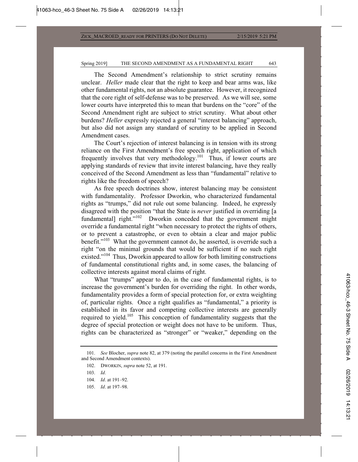The Second Amendment's relationship to strict scrutiny remains unclear. *Heller* made clear that the right to keep and bear arms was, like other fundamental rights, not an absolute guarantee. However, it recognized that the core right of self-defense was to be preserved. As we will see, some lower courts have interpreted this to mean that burdens on the "core" of the Second Amendment right are subject to strict scrutiny. What about other burdens? *Heller* expressly rejected a general "interest balancing" approach, but also did not assign any standard of scrutiny to be applied in Second Amendment cases.

The Court's rejection of interest balancing is in tension with its strong reliance on the First Amendment's free speech right, application of which frequently involves that very methodology.<sup>101</sup> Thus, if lower courts are applying standards of review that invite interest balancing, have they really conceived of the Second Amendment as less than "fundamental" relative to rights like the freedom of speech?

As free speech doctrines show, interest balancing may be consistent with fundamentality. Professor Dworkin, who characterized fundamental rights as "trumps," did not rule out some balancing. Indeed, he expressly disagreed with the position "that the State is *never* justified in overriding [a fundamental] right."<sup>102</sup> Dworkin conceded that the government might override a fundamental right "when necessary to protect the rights of others, or to prevent a catastrophe, or even to obtain a clear and major public benefit."<sup>103</sup> What the government cannot do, he asserted, is override such a right "on the minimal grounds that would be sufficient if no such right existed."<sup>104</sup> Thus, Dworkin appeared to allow for both limiting constructions of fundamental constitutional rights and, in some cases, the balancing of collective interests against moral claims of right.

What "trumps" appear to do, in the case of fundamental rights, is to increase the government's burden for overriding the right. In other words, fundamentality provides a form of special protection for, or extra weighting of, particular rights. Once a right qualifies as "fundamental," a priority is established in its favor and competing collective interests are generally required to yield.105 This conception of fundamentality suggests that the degree of special protection or weight does not have to be uniform. Thus, rights can be characterized as "stronger" or "weaker," depending on the

- 104. *Id*. at 191–92.
- 105. *Id*. at 197–98.

 <sup>101.</sup> *See* Blocher, *supra* note 82, at 379 (noting the parallel concerns in the First Amendment and Second Amendment contexts).

 <sup>102.</sup> DWORKIN, *supra* note 52, at 191.

 <sup>103.</sup> *Id*.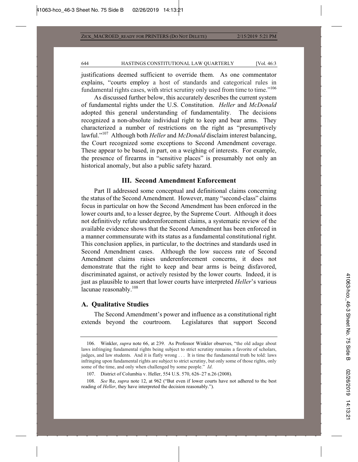justifications deemed sufficient to override them. As one commentator explains, "courts employ a host of standards and categorical rules in fundamental rights cases, with strict scrutiny only used from time to time."106

As discussed further below, this accurately describes the current system of fundamental rights under the U.S. Constitution. *Heller* and *McDonald* adopted this general understanding of fundamentality. The decisions recognized a non-absolute individual right to keep and bear arms. They characterized a number of restrictions on the right as "presumptively lawful."107 Although both *Heller* and *McDonald* disclaim interest balancing, the Court recognized some exceptions to Second Amendment coverage. These appear to be based, in part, on a weighing of interests. For example, the presence of firearms in "sensitive places" is presumably not only an historical anomaly, but also a public safety hazard.

#### **III. Second Amendment Enforcement**

Part II addressed some conceptual and definitional claims concerning the status of the Second Amendment. However, many "second-class" claims focus in particular on how the Second Amendment has been enforced in the lower courts and, to a lesser degree, by the Supreme Court. Although it does not definitively refute underenforcement claims, a systematic review of the available evidence shows that the Second Amendment has been enforced in a manner commensurate with its status as a fundamental constitutional right. This conclusion applies, in particular, to the doctrines and standards used in Second Amendment cases. Although the low success rate of Second Amendment claims raises underenforcement concerns, it does not demonstrate that the right to keep and bear arms is being disfavored, discriminated against, or actively resisted by the lower courts. Indeed, it is just as plausible to assert that lower courts have interpreted *Heller*'s various lacunae reasonably.<sup>108</sup>

#### **A. Qualitative Studies**

The Second Amendment's power and influence as a constitutional right extends beyond the courtroom. Legislatures that support Second

 <sup>106.</sup> Winkler, *supra* note 66, at 239. As Professor Winkler observes, "the old adage about laws infringing fundamental rights being subject to strict scrutiny remains a favorite of scholars, judges, and law students. And it is flatly wrong . . . It is time the fundamental truth be told: laws infringing upon fundamental rights are subject to strict scrutiny, but only some of those rights, only some of the time, and only when challenged by some people." *Id*.

 <sup>107.</sup> District of Columbia v. Heller, 554 U.S. 570, 626–27 n.26 (2008).

 <sup>108.</sup> *See* Re, *supra* note 12, at 962 ("But even if lower courts have not adhered to the best reading of *Heller*, they have interpreted the decision reasonably.").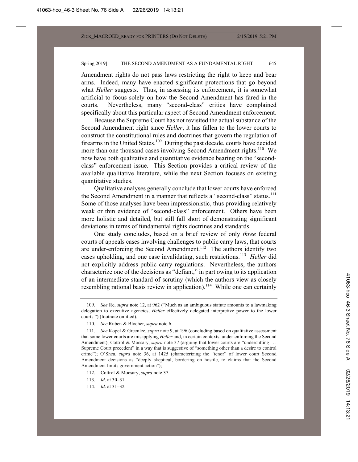Amendment rights do not pass laws restricting the right to keep and bear arms. Indeed, many have enacted significant protections that go beyond what *Heller* suggests. Thus, in assessing its enforcement, it is somewhat artificial to focus solely on how the Second Amendment has fared in the courts. Nevertheless, many "second-class" critics have complained specifically about this particular aspect of Second Amendment enforcement.

Because the Supreme Court has not revisited the actual substance of the Second Amendment right since *Heller*, it has fallen to the lower courts to construct the constitutional rules and doctrines that govern the regulation of firearms in the United States.109 During the past decade, courts have decided more than one thousand cases involving Second Amendment rights.<sup>110</sup> We now have both qualitative and quantitative evidence bearing on the "secondclass" enforcement issue. This Section provides a critical review of the available qualitative literature, while the next Section focuses on existing quantitative studies.

Qualitative analyses generally conclude that lower courts have enforced the Second Amendment in a manner that reflects a "second-class" status.<sup>111</sup> Some of those analyses have been impressionistic, thus providing relatively weak or thin evidence of "second-class" enforcement. Others have been more holistic and detailed, but still fall short of demonstrating significant deviations in terms of fundamental rights doctrines and standards.

One study concludes, based on a brief review of only *three* federal courts of appeals cases involving challenges to public carry laws, that courts are under-enforcing the Second Amendment.<sup>112</sup> The authors identify two cases upholding, and one case invalidating, such restrictions.113 *Heller* did not explicitly address public carry regulations. Nevertheless, the authors characterize one of the decisions as "defiant," in part owing to its application of an intermediate standard of scrutiny (which the authors view as closely resembling rational basis review in application).<sup>114</sup> While one can certainly

114. *Id*. at 31–32.

 <sup>109.</sup> *See* Re, *supra* note 12, at 962 ("Much as an ambiguous statute amounts to a lawmaking delegation to executive agencies, *Heller* effectively delegated interpretive power to the lower courts.") (footnote omitted).

 <sup>110.</sup> *See* Ruben & Blocher, *supra* note 6.

 <sup>111.</sup> *See* Kopel & Greenlee, *supra* note 9, at 196 (concluding based on qualitative assessment that some lower courts are misapplying *Heller* and, in certain contexts, under-enforcing the Second Amendment); Cottrol & Mocsary, *supra* note 37 (arguing that lower courts are "undercutting . . . Supreme Court precedent" in a way that is suggestive of "something other than a desire to control crime"); O'Shea, *supra* note 36, at 1425 (characterizing the "tenor" of lower court Second Amendment decisions as "deeply skeptical, bordering on hostile, to claims that the Second Amendment limits government action");

 <sup>112.</sup> Cottrol & Mocsary, *supra* note 37.

 <sup>113.</sup> *Id*. at 30–31.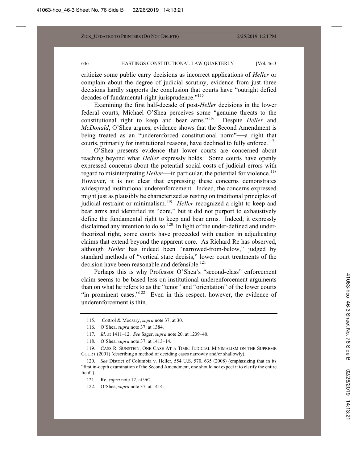criticize some public carry decisions as incorrect applications of *Heller* or complain about the degree of judicial scrutiny, evidence from just three decisions hardly supports the conclusion that courts have "outright defied decades of fundamental-right jurisprudence."<sup>115</sup>

Examining the first half-decade of post-*Heller* decisions in the lower federal courts, Michael O'Shea perceives some "genuine threats to the constitutional right to keep and bear arms."116 Despite *Heller* and *McDonald*, O'Shea argues, evidence shows that the Second Amendment is being treated as an "underenforced constitutional norm"—a right that courts, primarily for institutional reasons, have declined to fully enforce.<sup>117</sup>

O'Shea presents evidence that lower courts are concerned about reaching beyond what *Heller* expressly holds. Some courts have openly expressed concerns about the potential social costs of judicial errors with regard to misinterpreting *Heller*—in particular, the potential for violence.<sup>118</sup> However, it is not clear that expressing these concerns demonstrates widespread institutional underenforcement. Indeed, the concerns expressed might just as plausibly be characterized as resting on traditional principles of judicial restraint or minimalism.<sup>119</sup> *Heller* recognized a right to keep and bear arms and identified its "core," but it did not purport to exhaustively define the fundamental right to keep and bear arms. Indeed, it expressly disclaimed any intention to do so.<sup>120</sup> In light of the under-defined and undertheorized right, some courts have proceeded with caution in adjudicating claims that extend beyond the apparent core. As Richard Re has observed, although *Heller* has indeed been "narrowed-from-below," judged by standard methods of "vertical stare decisis," lower court treatments of the decision have been reasonable and defensible.<sup>121</sup>

Perhaps this is why Professor O'Shea's "second-class" enforcement claim seems to be based less on institutional underenforcement arguments than on what he refers to as the "tenor" and "orientation" of the lower courts "in prominent cases."<sup>122</sup> Even in this respect, however, the evidence of underenforcement is thin.

 119. CASS R. SUNSTEIN, ONE CASE AT A TIME: JUDICIAL MINIMALISM ON THE SUPREME COURT (2001) (describing a method of deciding cases narrowly and/or shallowly).

122. O'Shea, *supra* note 37, at 1414.

 <sup>115.</sup> Cottrol & Mocsary, *supra* note 37, at 30.

 <sup>116.</sup> O'Shea, *supra* note 37, at 1384.

 <sup>117.</sup> *Id*. at 1411–12. *See* Sager, *supra* note 20, at 1239–40.

 <sup>118.</sup> O'Shea, *supra* note 37, at 1413–14.

 <sup>120.</sup> *See* District of Columbia v. Heller, 554 U.S. 570, 635 (2008) (emphasizing that in its "first in-depth examination of the Second Amendment, one should not expect it to clarify the entire field").

 <sup>121.</sup> Re, *supra* note 12, at 962.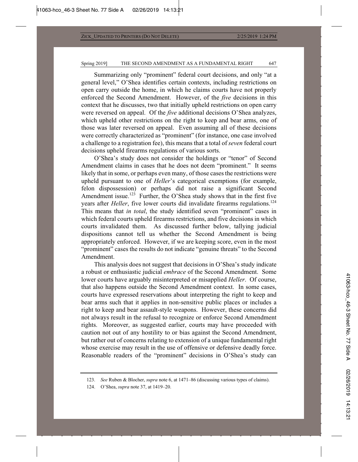Summarizing only "prominent" federal court decisions, and only "at a general level," O'Shea identifies certain contexts, including restrictions on open carry outside the home, in which he claims courts have not properly enforced the Second Amendment. However, of the *five* decisions in this context that he discusses, two that initially upheld restrictions on open carry were reversed on appeal. Of the *five* additional decisions O'Shea analyzes, which upheld other restrictions on the right to keep and bear arms, one of those was later reversed on appeal. Even assuming all of these decisions were correctly characterized as "prominent" (for instance, one case involved a challenge to a registration fee), this means that a total of *seven* federal court decisions upheld firearms regulations of various sorts.

O'Shea's study does not consider the holdings or "tenor" of Second Amendment claims in cases that he does not deem "prominent." It seems likely that in some, or perhaps even many, of those cases the restrictions were upheld pursuant to one of *Heller*'s categorical exemptions (for example, felon dispossession) or perhaps did not raise a significant Second Amendment issue.<sup>123</sup> Further, the O'Shea study shows that in the first five years after *Heller*, five lower courts did invalidate firearms regulations.<sup>124</sup> This means that *in total*, the study identified seven "prominent" cases in which federal courts upheld firearms restrictions, and five decisions in which courts invalidated them. As discussed further below, tallying judicial dispositions cannot tell us whether the Second Amendment is being appropriately enforced. However, if we are keeping score, even in the most "prominent" cases the results do not indicate "genuine threats" to the Second Amendment.

This analysis does not suggest that decisions in O'Shea's study indicate a robust or enthusiastic judicial *embrace* of the Second Amendment. Some lower courts have arguably misinterpreted or misapplied *Heller*. Of course, that also happens outside the Second Amendment context. In some cases, courts have expressed reservations about interpreting the right to keep and bear arms such that it applies in non-sensitive public places or includes a right to keep and bear assault-style weapons. However, these concerns did not always result in the refusal to recognize or enforce Second Amendment rights. Moreover, as suggested earlier, courts may have proceeded with caution not out of any hostility to or bias against the Second Amendment, but rather out of concerns relating to extension of a unique fundamental right whose exercise may result in the use of offensive or defensive deadly force. Reasonable readers of the "prominent" decisions in O'Shea's study can

 <sup>123.</sup> *See* Ruben & Blocher, *supra* note 6, at 1471–86 (discussing various types of claims).

 <sup>124.</sup> O'Shea, *supra* note 37, at 1419–20.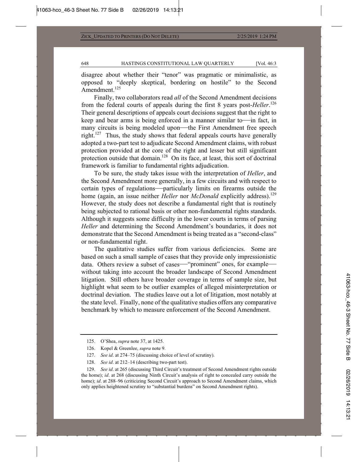disagree about whether their "tenor" was pragmatic or minimalistic, as opposed to "deeply skeptical, bordering on hostile" to the Second Amendment<sup>125</sup>

Finally, two collaborators read *all* of the Second Amendment decisions from the federal courts of appeals during the first 8 years post-*Heller*. 126 Their general descriptions of appeals court decisions suggest that the right to keep and bear arms is being enforced in a manner similar to—in fact, in many circuits is being modeled upon—the First Amendment free speech right.<sup>127</sup> Thus, the study shows that federal appeals courts have generally adopted a two-part test to adjudicate Second Amendment claims, with robust protection provided at the core of the right and lesser but still significant protection outside that domain.<sup>128</sup> On its face, at least, this sort of doctrinal framework is familiar to fundamental rights adjudication.

To be sure, the study takes issue with the interpretation of *Heller*, and the Second Amendment more generally, in a few circuits and with respect to certain types of regulations—particularly limits on firearms outside the home (again, an issue neither *Heller* nor *McDonald* explicitly address).<sup>129</sup> However, the study does not describe a fundamental right that is routinely being subjected to rational basis or other non-fundamental rights standards. Although it suggests some difficulty in the lower courts in terms of parsing *Heller* and determining the Second Amendment's boundaries, it does not demonstrate that the Second Amendment is being treated as a "second-class" or non-fundamental right.

The qualitative studies suffer from various deficiencies. Some are based on such a small sample of cases that they provide only impressionistic data. Others review a subset of cases—"prominent" ones, for example without taking into account the broader landscape of Second Amendment litigation. Still others have broader coverage in terms of sample size, but highlight what seem to be outlier examples of alleged misinterpretation or doctrinal deviation. The studies leave out a lot of litigation, most notably at the state level. Finally, none of the qualitative studies offers any comparative benchmark by which to measure enforcement of the Second Amendment.

128. *See id*. at 212–14 (describing two-part test).

 <sup>125.</sup> O'Shea, *supra* note 37, at 1425.

 <sup>126.</sup> Kopel & Greenlee, *supra* note 9.

 <sup>127.</sup> *See id*. at 274–75 (discussing choice of level of scrutiny).

 <sup>129.</sup> *See id*. at 265 (discussing Third Circuit's treatment of Second Amendment rights outside the home); *id*. at 268 (discussing Ninth Circuit's analysis of right to concealed carry outside the home); *id.* at 288–96 (criticizing Second Circuit's approach to Second Amendment claims, which only applies heightened scrutiny to "substantial burdens" on Second Amendment rights).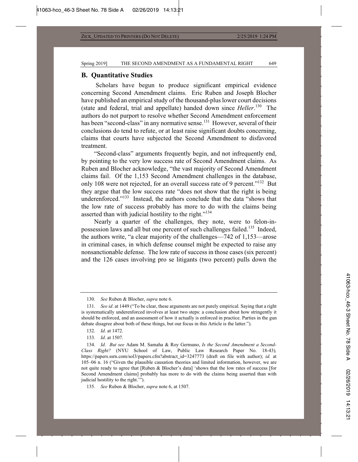#### **B. Quantitative Studies**

 Scholars have begun to produce significant empirical evidence concerning Second Amendment claims. Eric Ruben and Joseph Blocher have published an empirical study of the thousand-plus lower court decisions (state and federal, trial and appellate) handed down since *Heller*. 130 The authors do not purport to resolve whether Second Amendment enforcement has been "second-class" in any normative sense.<sup>131</sup> However, several of their conclusions do tend to refute, or at least raise significant doubts concerning, claims that courts have subjected the Second Amendment to disfavored treatment.

"Second-class" arguments frequently begin, and not infrequently end, by pointing to the very low success rate of Second Amendment claims. As Ruben and Blocher acknowledge, "the vast majority of Second Amendment claims fail. Of the 1,153 Second Amendment challenges in the database, only 108 were not rejected, for an overall success rate of 9 percent."<sup>132</sup> But they argue that the low success rate "does not show that the right is being underenforced."<sup>133</sup> Instead, the authors conclude that the data "shows that the low rate of success probably has more to do with the claims being asserted than with judicial hostility to the right."<sup>134</sup>

Nearly a quarter of the challenges, they note, were to felon-inpossession laws and all but one percent of such challenges failed.<sup>135</sup> Indeed. the authors write, "a clear majority of the challenges—742 of 1,153—arose in criminal cases, in which defense counsel might be expected to raise any nonsanctionable defense. The low rate of success in those cases (six percent) and the 126 cases involving pro se litigants (two percent) pulls down the

 <sup>130.</sup> *See* Ruben & Blocher, *supra* note 6.

 <sup>131.</sup> *See id*. at 1449 ("To be clear, these arguments are not purely empirical. Saying that a right is systematically underenforced involves at least two steps: a conclusion about how stringently it should be enforced, and an assessment of how it actually is enforced in practice. Parties in the gun debate disagree about both of these things, but our focus in this Article is the latter.").

 <sup>132.</sup> *Id*. at 1472.

 <sup>133.</sup> *Id*. at 1507.

 <sup>134.</sup> *Id*. *But see* Adam M. Samaha & Roy Germano, *Is the Second Amendment a Second-Class Right?* (NYU School of Law, Public Law Research Paper No. 18-43)*,* https://papers.ssrn.com/sol3/papers.cfm?abstract\_id=3247773 (draft on file with author); *id.* at 105–06 n. 16 ("Given the plausible causation theories and limited information, however, we are not quite ready to agree that [Ruben & Blocher's data] 'shows that the low rates of success [for Second Amendment claims] probably has more to do with the claims being asserted than with judicial hostility to the right.'").

 <sup>135.</sup> *See* Ruben & Blocher, *supra* note 6, at 1507.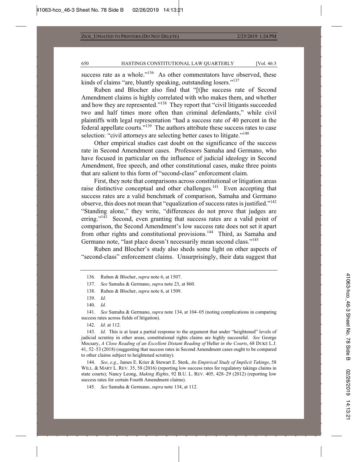success rate as a whole."<sup>136</sup> As other commentators have observed, these kinds of claims "are, bluntly speaking, outstanding losers."137

Ruben and Blocher also find that "[t]he success rate of Second Amendment claims is highly correlated with who makes them, and whether and how they are represented."138 They report that "civil litigants succeeded two and half times more often than criminal defendants," while civil plaintiffs with legal representation "had a success rate of 40 percent in the federal appellate courts."139 The authors attribute these success rates to case selection: "civil attorneys are selecting better cases to litigate."<sup>140</sup>

Other empirical studies cast doubt on the significance of the success rate in Second Amendment cases. Professors Samaha and Germano, who have focused in particular on the influence of judicial ideology in Second Amendment, free speech, and other constitutional cases, make three points that are salient to this form of "second-class" enforcement claim.

First, they note that comparisons across constitutional or litigation areas raise distinctive conceptual and other challenges.<sup>141</sup> Even accepting that success rates are a valid benchmark of comparison, Samaha and Germano observe, this does not mean that "equalization of success rates is justified."142 "Standing alone," they write, "differences do not prove that judges are erring."<sup>143</sup> Second, even granting that success rates are a valid point of Second, even granting that success rates are a valid point of comparison, the Second Amendment's low success rate does not set it apart from other rights and constitutional provisions.<sup>144</sup> Third, as Samaha and Germano note, "last place doesn't necessarily mean second class."<sup>145</sup>

Ruben and Blocher's study also sheds some light on other aspects of "second-class" enforcement claims. Unsurprisingly, their data suggest that

137. *See* Samaha & Germano, *supra* note 23, at 860.

 141. *See* Samaha & Germano, *supra* note 134, at 104–05 (noting complications in comparing success rates across fields of litigation).

142. *Id*. at 112.

 143. *Id*. This is at least a partial response to the argument that under "heightened" levels of judicial scrutiny in other areas, constitutional rights claims are highly successful. *See* George Mocsary, *A Close Reading of an Excellent Distant Reading of* Heller *in the Courts*, 68 DUKE L.J. 41, 52–53 (2018) (suggesting that success rates in Second Amendment cases ought to be compared to other claims subject to heightened scrutiny).

 144. *See*, *e.g.*, James E. Krier & Stewart E. Sterk, *An Empirical Study of Implicit Takings*, 58 WILL. & MARY L. REV. 35, 58 (2016) (reporting low success rates for regulatory takings claims in state courts); Nancy Leong, *Making Rights*, 92 B.U. L. REV. 405, 428–29 (2012) (reporting low success rates for certain Fourth Amendment claims).

145. *See* Samaha & Germano, *supra* note 134, at 112.

 <sup>136.</sup> Ruben & Blocher, *supra* note 6, at 1507.

 <sup>138.</sup> Ruben & Blocher, *supra* note 6, at 1509.

 <sup>139.</sup> *Id*.

 <sup>140.</sup> *Id*.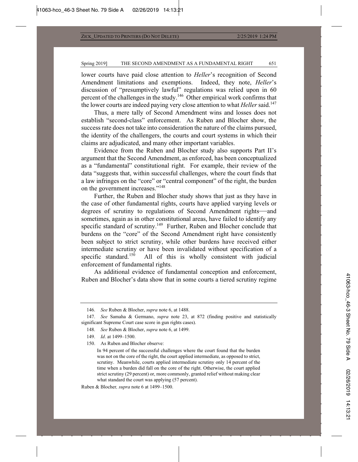lower courts have paid close attention to *Heller*'s recognition of Second Amendment limitations and exemptions. Indeed, they note, *Heller*'s discussion of "presumptively lawful" regulations was relied upon in 60 percent of the challenges in the study.146 Other empirical work confirms that the lower courts are indeed paying very close attention to what *Heller* said.<sup>147</sup>

Thus, a mere tally of Second Amendment wins and losses does not establish "second-class" enforcement. As Ruben and Blocher show, the success rate does not take into consideration the nature of the claims pursued, the identity of the challengers, the courts and court systems in which their claims are adjudicated, and many other important variables.

Evidence from the Ruben and Blocher study also supports Part II's argument that the Second Amendment, as enforced, has been conceptualized as a "fundamental" constitutional right. For example, their review of the data "suggests that, within successful challenges, where the court finds that a law infringes on the "core" or "central component" of the right, the burden on the government increases."<sup>148</sup>

Further, the Ruben and Blocher study shows that just as they have in the case of other fundamental rights, courts have applied varying levels or degrees of scrutiny to regulations of Second Amendment rights—and sometimes, again as in other constitutional areas, have failed to identify any specific standard of scrutiny.<sup>149</sup> Further, Ruben and Blocher conclude that burdens on the "core" of the Second Amendment right have consistently been subject to strict scrutiny, while other burdens have received either intermediate scrutiny or have been invalidated without specification of a specific standard.<sup>150</sup> All of this is wholly consistent with iudicial All of this is wholly consistent with judicial enforcement of fundamental rights.

As additional evidence of fundamental conception and enforcement, Ruben and Blocher's data show that in some courts a tiered scrutiny regime

150. As Ruben and Blocher observe:

Ruben & Blocher*, supra* note 6 at 1499–1500.

 <sup>146.</sup> *See* Ruben & Blocher, *supra* note 6, at 1488.

 <sup>147.</sup> *See* Samaha & Germano, *supra* note 23, at 872 (finding positive and statistically significant Supreme Court case score in gun rights cases).

 <sup>148.</sup> *See* Ruben & Blocher, *supra* note 6, at 1499.

 <sup>149.</sup> *Id*. at 1499–1500.

In 94 percent of the successful challenges where the court found that the burden was not on the core of the right, the court applied intermediate, as opposed to strict, scrutiny. Meanwhile, courts applied intermediate scrutiny only 14 percent of the time when a burden did fall on the core of the right. Otherwise, the court applied strict scrutiny (29 percent) or, more commonly, granted relief without making clear what standard the court was applying  $(57$  percent).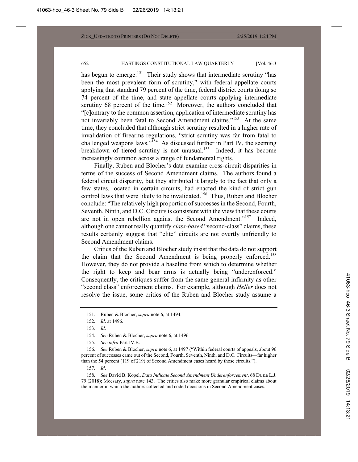has begun to emerge.<sup>151</sup> Their study shows that intermediate scrutiny "has been the most prevalent form of scrutiny," with federal appellate courts applying that standard 79 percent of the time, federal district courts doing so 74 percent of the time, and state appellate courts applying intermediate scrutiny  $68$  percent of the time.<sup>152</sup> Moreover, the authors concluded that "[c]ontrary to the common assertion, application of intermediate scrutiny has not invariably been fatal to Second Amendment claims."153 At the same time, they concluded that although strict scrutiny resulted in a higher rate of invalidation of firearms regulations, "strict scrutiny was far from fatal to challenged weapons laws."<sup>154</sup> As discussed further in Part IV, the seeming breakdown of tiered scrutiny is not unusual.<sup>155</sup> Indeed, it has become increasingly common across a range of fundamental rights.

Finally, Ruben and Blocher's data examine cross-circuit disparities in terms of the success of Second Amendment claims. The authors found a federal circuit disparity, but they attributed it largely to the fact that only a few states, located in certain circuits, had enacted the kind of strict gun control laws that were likely to be invalidated.<sup>156</sup> Thus, Ruben and Blocher conclude: "The relatively high proportion of successes in the Second, Fourth, Seventh, Ninth, and D.C. Circuits is consistent with the view that these courts are not in open rebellion against the Second Amendment."157 Indeed, although one cannot really quantify *class-based* "second-class" claims, these results certainly suggest that "elite" circuits are not overtly unfriendly to Second Amendment claims.

Critics of the Ruben and Blocher study insist that the data do not support the claim that the Second Amendment is being properly enforced.<sup>158</sup> However, they do not provide a baseline from which to determine whether the right to keep and bear arms is actually being "underenforced." Consequently, the critiques suffer from the same general infirmity as other "second class" enforcement claims. For example, although *Heller* does not resolve the issue, some critics of the Ruben and Blocher study assume a

155. *See infra* Part IV.B.

 156. *See* Ruben & Blocher, *supra* note 6, at 1497 ("Within federal courts of appeals, about 96 percent of successes came out of the Second, Fourth, Seventh, Ninth, and D.C. Circuits—far higher than the 54 percent (119 of 219) of Second Amendment cases heard by those circuits.").

157. *Id*.

 158. *See* David B. Kopel, *Data Indicate Second Amendment Underenforcement*, 68 DUKE L.J. 79 (2018); Mocsary, *supra* note 143. The critics also make more granular empirical claims about the manner in which the authors collected and coded decisions in Second Amendment cases.

 <sup>151.</sup> Ruben & Blocher, *supra* note 6, at 1494.

 <sup>152.</sup> *Id*. at 1496.

 <sup>153.</sup> *Id*.

 <sup>154.</sup> *See* Ruben & Blocher, *supra* note 6, at 1496.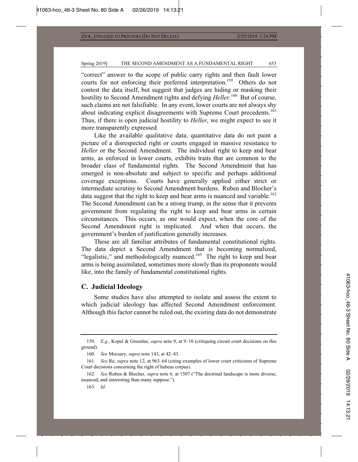"correct" answer to the scope of public carry rights and then fault lower courts for not enforcing their preferred interpretation.<sup>159</sup> Others do not contest the data itself, but suggest that judges are hiding or masking their hostility to Second Amendment rights and defying *Heller*. 160 But of course, such claims are not falsifiable. In any event, lower courts are not always shy about indicating explicit disagreements with Supreme Court precedents.<sup>161</sup> Thus, if there is open judicial hostility to *Heller*, we might expect to see it more transparently expressed.

Like the available qualitative data, quantitative data do not paint a picture of a disrespected right or courts engaged in massive resistance to *Heller* or the Second Amendment. The individual right to keep and bear arms, as enforced in lower courts, exhibits traits that are common to the broader class of fundamental rights. The Second Amendment that has emerged is non-absolute and subject to specific and perhaps additional coverage exceptions. Courts have generally applied either strict or intermediate scrutiny to Second Amendment burdens. Ruben and Blocher's data suggest that the right to keep and bear arms is nuanced and variable.<sup>162</sup> The Second Amendment can be a strong trump, in the sense that it prevents government from regulating the right to keep and bear arms in certain circumstances. This occurs, as one would expect, when the core of the Second Amendment right is implicated. And when that occurs, the government's burden of justification generally increases.

These are all familiar attributes of fundamental constitutional rights. The data depict a Second Amendment that is becoming normalized, "legalistic," and methodologically nuanced. $163$  The right to keep and bear arms is being assimilated, sometimes more slowly than its proponents would like, into the family of fundamental constitutional rights.

# **C. Judicial Ideology**

Some studies have also attempted to isolate and assess the extent to which judicial ideology has affected Second Amendment enforcement. Although this factor cannot be ruled out, the existing data do not demonstrate

163. *Id*.

 <sup>159.</sup> *E.g.*, Kopel & Greenlee, *supra* note 9, at 9–10 (critiquing circuit court decisions on this ground).

 <sup>160.</sup> *See* Mocsary, *supra* note 143, at 42–43.

 <sup>161.</sup> *See* Re, *supra* note 12, at 963–64 (citing examples of lower court criticisms of Supreme Court decisions concerning the right of habeas corpus).

 <sup>162.</sup> *See* Ruben & Blocher*, supra* note 6*,* at 1507 ("The doctrinal landscape is more diverse, nuanced, and interesting than many suppose.").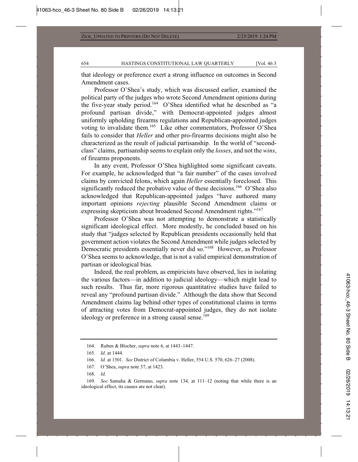that ideology or preference exert a strong influence on outcomes in Second Amendment cases.

Professor O'Shea's study, which was discussed earlier, examined the political party of the judges who wrote Second Amendment opinions during the five-year study period.<sup>164</sup> O'Shea identified what he described as "a profound partisan divide," with Democrat-appointed judges almost uniformly upholding firearms regulations and Republican-appointed judges voting to invalidate them.<sup>165</sup> Like other commentators, Professor O'Shea fails to consider that *Heller* and other pro-firearms decisions might also be characterized as the result of judicial partisanship. In the world of "secondclass" claims, partisanship seems to explain only the *losses*, and not the *wins*, of firearms proponents.

In any event, Professor O'Shea highlighted some significant caveats. For example, he acknowledged that "a fair number" of the cases involved claims by convicted felons, which again *Heller* essentially foreclosed. This significantly reduced the probative value of these decisions.<sup>166</sup> O'Shea also acknowledged that Republican-appointed judges "have authored many important opinions *rejecting* plausible Second Amendment claims or expressing skepticism about broadened Second Amendment rights."<sup>167</sup>

Professor O'Shea was not attempting to demonstrate a statistically significant ideological effect. More modestly, he concluded based on his study that "judges selected by Republican presidents occasionally held that government action violates the Second Amendment while judges selected by Democratic presidents essentially never did so."168 However, as Professor O'Shea seems to acknowledge, that is not a valid empirical demonstration of partisan or ideological bias.

Indeed, the real problem, as empiricists have observed, lies in isolating the various factors––in addition to judicial ideology––which might lead to such results. Thus far, more rigorous quantitative studies have failed to reveal any "profound partisan divide." Although the data show that Second Amendment claims lag behind other types of constitutional claims in terms of attracting votes from Democrat-appointed judges, they do not isolate ideology or preference in a strong causal sense.<sup>169</sup>

 <sup>164.</sup> Ruben & Blocher, *supra* note 6, at 1443–1447.

 <sup>165.</sup> *Id*. at 1444.

 <sup>166.</sup> *Id.* at 1501. *See* District of Columbia v. Heller, 554 U.S. 570, 626–27 (2008).

 <sup>167.</sup> O'Shea, *supra* note 37, at 1423.

 <sup>168.</sup> *Id.*

 <sup>169.</sup> *See* Samaha & Germano, *supra* note 134, at 111–12 (noting that while there is an ideological effect, its causes are not clear).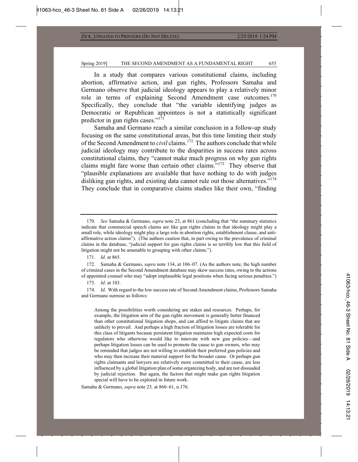In a study that compares various constitutional claims, including abortion, affirmative action, and gun rights, Professors Samaha and Germano observe that judicial ideology appears to play a relatively minor role in terms of explaining Second Amendment case outcomes.<sup>170</sup> Specifically, they conclude that "the variable identifying judges as Democratic or Republican appointees is not a statistically significant predictor in gun rights cases." $1^{71}$ 

Samaha and Germano reach a similar conclusion in a follow-up study focusing on the same constitutional areas, but this time limiting their study of the Second Amendment to *civil* claims.<sup>172</sup> The authors conclude that while judicial ideology may contribute to the disparities in success rates across constitutional claims, they "cannot make much progress on why gun rights claims might fare worse than certain other claims."173 They observe that "plausible explanations are available that have nothing to do with judges disliking gun rights, and existing data cannot rule out those alternatives."<sup>174</sup> They conclude that in comparative claims studies like their own, "finding

171. *Id*. at 865.

 172. Samaha & Germano, *supra* note 134, at 106–07. (As the authors note, the high number of criminal cases in the Second Amendment database may skew success rates, owing to the actions of appointed counsel who may "adopt implausible legal positions when facing serious penalties.")

173. *Id*. at 103.

 174. *Id*. With regard to the low success rate of Second Amendment claims, Professors Samaha and Germano surmise as follows:

Among the possibilities worth considering are stakes and resources. Perhaps, for example, the litigation arm of the gun rights movement is generally better financed than other constitutional litigation shops, and can afford to litigate claims that are unlikely to prevail. And perhaps a high fraction of litigation losses are tolerable for this class of litigants because persistent litigation maintains high expected costs for regulators who otherwise would like to innovate with new gun policies—and perhaps litigation losses can be used to promote the cause to gun owners, who may be reminded that judges are not willing to establish their preferred gun policies and who may then increase their material support for the broader cause. Or perhaps gun rights claimants and lawyers are relatively more committed to their cause, are less influenced by a global litigation plan of some organizing body, and are not dissuaded by judicial rejection. But again, the factors that might make gun rights litigation special will have to be explored in future work.

Samaha & Germano, *supra* note 23*,* at 860–61, n.176.

 <sup>170.</sup> *See* Samaha & Germano, *supra* note 23, at 861 (concluding that "the summary statistics indicate that commercial speech claims are like gun rights claims in that ideology might play a small role, while ideology might play a large role in abortion rights, establishment clause, and antiaffirmative action claims"). (The authors caution that, in part owing to the prevalence of criminal claims in the database, "judicial support for gun rights claims is so terribly low that this field of litigation might not be amenable to grouping with other claims.").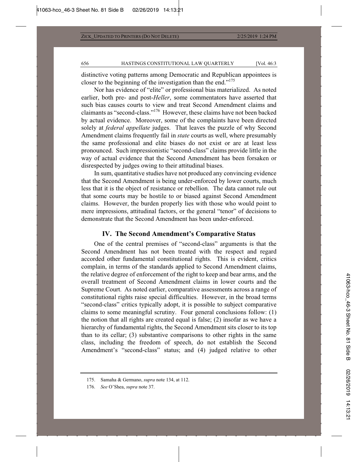distinctive voting patterns among Democratic and Republican appointees is closer to the beginning of the investigation than the end."<sup>175</sup>

Nor has evidence of "elite" or professional bias materialized. As noted earlier, both pre- and post-*Heller*, some commentators have asserted that such bias causes courts to view and treat Second Amendment claims and claimants as "second-class."176 However, these claims have not been backed by actual evidence. Moreover, some of the complaints have been directed solely at *federal appellate* judges. That leaves the puzzle of why Second Amendment claims frequently fail in *state* courts as well, where presumably the same professional and elite biases do not exist or are at least less pronounced. Such impressionistic "second-class" claims provide little in the way of actual evidence that the Second Amendment has been forsaken or disrespected by judges owing to their attitudinal biases.

In sum, quantitative studies have not produced any convincing evidence that the Second Amendment is being under-enforced by lower courts, much less that it is the object of resistance or rebellion. The data cannot rule out that some courts may be hostile to or biased against Second Amendment claims. However, the burden properly lies with those who would point to mere impressions, attitudinal factors, or the general "tenor" of decisions to demonstrate that the Second Amendment has been under-enforced.

# **IV. The Second Amendment's Comparative Status**

One of the central premises of "second-class" arguments is that the Second Amendment has not been treated with the respect and regard accorded other fundamental constitutional rights. This is evident, critics complain, in terms of the standards applied to Second Amendment claims, the relative degree of enforcement of the right to keep and bear arms, and the overall treatment of Second Amendment claims in lower courts and the Supreme Court. As noted earlier, comparative assessments across a range of constitutional rights raise special difficulties. However, in the broad terms "second-class" critics typically adopt, it is possible to subject comparative claims to some meaningful scrutiny. Four general conclusions follow: (1) the notion that all rights are created equal is false; (2) insofar as we have a hierarchy of fundamental rights, the Second Amendment sits closer to its top than to its cellar; (3) substantive comparisons to other rights in the same class, including the freedom of speech, do not establish the Second Amendment's "second-class" status; and (4) judged relative to other

 <sup>175.</sup> Samaha & Germano, *supra* note 134, at 112.

 <sup>176.</sup> *See* O'Shea, *supra* note 37.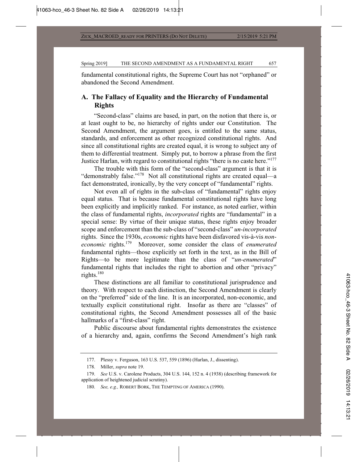fundamental constitutional rights, the Supreme Court has not "orphaned" or abandoned the Second Amendment.

# **A. The Fallacy of Equality and the Hierarchy of Fundamental Rights**

"Second-class" claims are based, in part, on the notion that there is, or at least ought to be, no hierarchy of rights under our Constitution. The Second Amendment, the argument goes, is entitled to the same status, standards, and enforcement as other recognized constitutional rights. And since all constitutional rights are created equal, it is wrong to subject any of them to differential treatment. Simply put, to borrow a phrase from the first Justice Harlan, with regard to constitutional rights "there is no caste here."177

The trouble with this form of the "second-class" argument is that it is "demonstrably false."178 Not all constitutional rights are created equal––a fact demonstrated, ironically, by the very concept of "fundamental" rights.

Not even all of rights in the sub-class of "fundamental" rights enjoy equal status. That is because fundamental constitutional rights have long been explicitly and implicitly ranked. For instance, as noted earlier, within the class of fundamental rights, *incorporated* rights are "fundamental" in a special sense: By virtue of their unique status, these rights enjoy broader scope and enforcement than the sub-class of "second-class" *un-incorporated* rights. Since the 1930s, *economic* rights have been disfavored vis-à-vis *noneconomic* rights.179 Moreover, some consider the class of *enumerated* fundamental rights––those explicitly set forth in the text, as in the Bill of Rights––to be more legitimate than the class of "*un-enumerated*" fundamental rights that includes the right to abortion and other "privacy" rights.180

These distinctions are all familiar to constitutional jurisprudence and theory. With respect to each distinction, the Second Amendment is clearly on the "preferred" side of the line. It is an incorporated, non-economic, and textually explicit constitutional right. Insofar as there are "classes" of constitutional rights, the Second Amendment possesses all of the basic hallmarks of a "first-class" right.

Public discourse about fundamental rights demonstrates the existence of a hierarchy and, again, confirms the Second Amendment's high rank

 <sup>177.</sup> Plessy v. Ferguson, 163 U.S. 537, 559 (1896) (Harlan, J., dissenting).

 <sup>178.</sup> Miller, *supra* note 19.

 <sup>179.</sup> *See* U.S. v. Carolene Products, 304 U.S. 144, 152 n. 4 (1938) (describing framework for application of heightened judicial scrutiny).

 <sup>180.</sup> *See, e.g.,* ROBERT BORK, THE TEMPTING OF AMERICA (1990).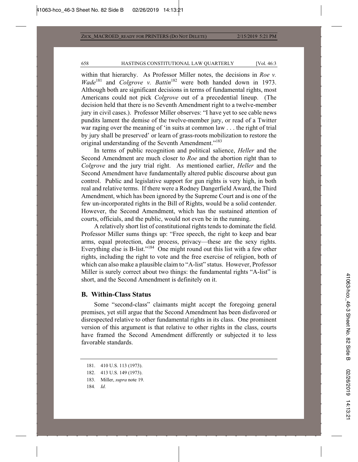within that hierarchy. As Professor Miller notes, the decisions in *Roe v. Wade*181 and *Colgrove v. Battin*182 were both handed down in 1973. Although both are significant decisions in terms of fundamental rights, most Americans could not pick *Colgrove* out of a precedential lineup. (The decision held that there is no Seventh Amendment right to a twelve-member jury in civil cases.). Professor Miller observes: "I have yet to see cable news pundits lament the demise of the twelve-member jury, or read of a Twitter war raging over the meaning of 'in suits at common law . . . the right of trial by jury shall be preserved' or learn of grass-roots mobilization to restore the original understanding of the Seventh Amendment."<sup>183</sup>

In terms of public recognition and political salience, *Heller* and the Second Amendment are much closer to *Roe* and the abortion right than to *Colgrove* and the jury trial right. As mentioned earlier, *Heller* and the Second Amendment have fundamentally altered public discourse about gun control. Public and legislative support for gun rights is very high, in both real and relative terms. If there were a Rodney Dangerfield Award, the Third Amendment, which has been ignored by the Supreme Court and is one of the few un-incorporated rights in the Bill of Rights, would be a solid contender. However, the Second Amendment, which has the sustained attention of courts, officials, and the public, would not even be in the running.

A relatively short list of constitutional rights tends to dominate the field. Professor Miller sums things up: "Free speech, the right to keep and bear arms, equal protection, due process, privacy––these are the sexy rights. Everything else is B-list."<sup>184</sup> One might round out this list with a few other rights, including the right to vote and the free exercise of religion, both of which can also make a plausible claim to "A-list" status. However, Professor Miller is surely correct about two things: the fundamental rights "A-list" is short, and the Second Amendment is definitely on it.

#### **B. Within-Class Status**

Some "second-class" claimants might accept the foregoing general premises, yet still argue that the Second Amendment has been disfavored or disrespected relative to other fundamental rights in its class. One prominent version of this argument is that relative to other rights in the class, courts have framed the Second Amendment differently or subjected it to less favorable standards.

 <sup>181. 410</sup> U.S. 113 (1973).

 <sup>182. 413</sup> U.S. 149 (1973).

 <sup>183.</sup> Miller, *supra* note 19.

<sup>184</sup>*. Id.*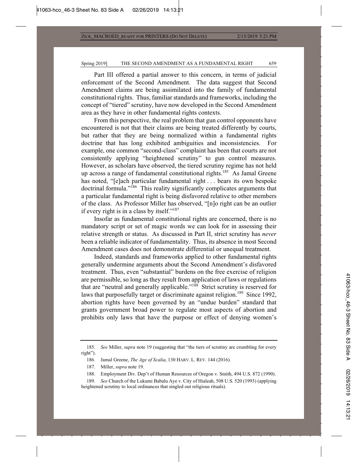Part III offered a partial answer to this concern, in terms of judicial enforcement of the Second Amendment. The data suggest that Second Amendment claims are being assimilated into the family of fundamental constitutional rights. Thus, familiar standards and frameworks, including the concept of "tiered" scrutiny, have now developed in the Second Amendment area as they have in other fundamental rights contexts.

From this perspective, the real problem that gun control opponents have encountered is not that their claims are being treated differently by courts, but rather that they are being normalized within a fundamental rights doctrine that has long exhibited ambiguities and inconsistencies. For example, one common "second-class" complaint has been that courts are not consistently applying "heightened scrutiny" to gun control measures. However, as scholars have observed, the tiered scrutiny regime has not held up across a range of fundamental constitutional rights.<sup>185</sup> As Jamal Greene has noted, "[e]ach particular fundamental right . . . bears its own bespoke doctrinal formula."186 This reality significantly complicates arguments that a particular fundamental right is being disfavored relative to other members of the class. As Professor Miller has observed, "[n]o right can be an outlier if every right is in a class by itself." $187$ 

Insofar as fundamental constitutional rights are concerned, there is no mandatory script or set of magic words we can look for in assessing their relative strength or status. As discussed in Part II, strict scrutiny has *never* been a reliable indicator of fundamentality. Thus, its absence in most Second Amendment cases does not demonstrate differential or unequal treatment.

Indeed, standards and frameworks applied to other fundamental rights generally undermine arguments about the Second Amendment's disfavored treatment. Thus, even "substantial" burdens on the free exercise of religion are permissible, so long as they result from application of laws or regulations that are "neutral and generally applicable."188 Strict scrutiny is reserved for laws that purposefully target or discriminate against religion.<sup>189</sup> Since 1992, abortion rights have been governed by an "undue burden" standard that grants government broad power to regulate most aspects of abortion and prohibits only laws that have the purpose or effect of denying women's

 <sup>185.</sup> *See* Miller, *supra* note 19 (suggesting that "the tiers of scrutiny are crumbling for every right").

 <sup>186.</sup> Jamal Greene, *The Age of Scalia*, 130 HARV. L. REV. 144 (2016).

 <sup>187.</sup> Miller, *supra* note 19.

 <sup>188.</sup> Employment Div. Dep't of Human Resources of Oregon v. Smith, 494 U.S. 872 (1990).

 <sup>189.</sup> *See* Church of the Lukumi Babalu Aye v. City of Hialeah, 508 U.S. 520 (1993) (applying heightened scrutiny to local ordinances that singled out religious rituals).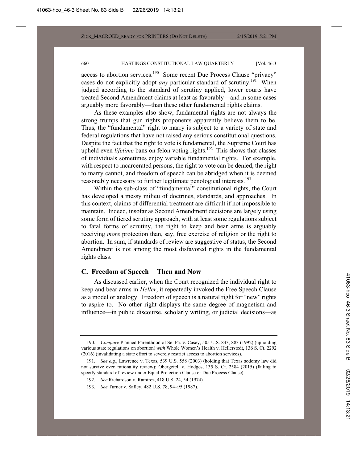access to abortion services.190 Some recent Due Process Clause "privacy" cases do not explicitly adopt *any* particular standard of scrutiny.<sup>191</sup> When judged according to the standard of scrutiny applied, lower courts have treated Second Amendment claims at least as favorably––and in some cases arguably more favorably––than these other fundamental rights claims.

As these examples also show, fundamental rights are not always the strong trumps that gun rights proponents apparently believe them to be. Thus, the "fundamental" right to marry is subject to a variety of state and federal regulations that have not raised any serious constitutional questions. Despite the fact that the right to vote is fundamental, the Supreme Court has upheld even *lifetime* bans on felon voting rights.<sup>192</sup> This shows that classes of individuals sometimes enjoy variable fundamental rights. For example, with respect to incarcerated persons, the right to vote can be denied, the right to marry cannot, and freedom of speech can be abridged when it is deemed reasonably necessary to further legitimate penological interests.<sup>193</sup>

Within the sub-class of "fundamental" constitutional rights, the Court has developed a messy milieu of doctrines, standards, and approaches. In this context, claims of differential treatment are difficult if not impossible to maintain. Indeed, insofar as Second Amendment decisions are largely using some form of tiered scrutiny approach, with at least some regulations subject to fatal forms of scrutiny, the right to keep and bear arms is arguably receiving *more* protection than, say, free exercise of religion or the right to abortion. In sum, if standards of review are suggestive of status, the Second Amendment is not among the most disfavored rights in the fundamental rights class.

# **C. Freedom of Speech – Then and Now**

As discussed earlier, when the Court recognized the individual right to keep and bear arms in *Heller*, it repeatedly invoked the Free Speech Clause as a model or analogy. Freedom of speech is a natural right for "new" rights to aspire to. No other right displays the same degree of magnetism and influence––in public discourse, scholarly writing, or judicial decisions––as

 <sup>190.</sup> *Compare* Planned Parenthood of Se. Pa. v. Casey, 505 U.S. 833, 883 (1992) (upholding various state regulations on abortion) *with* Whole Women's Health v. Hellerstedt, 136 S. Ct. 2292 (2016) (invalidating a state effort to severely restrict access to abortion services).

 <sup>191.</sup> *See e.g.*, Lawrence v. Texas, 539 U.S. 558 (2003) (holding that Texas sodomy law did not survive even rationality review); Obergefell v. Hodges, 135 S. Ct. 2584 (2015) (failing to specify standard of review under Equal Protection Clause or Due Process Clause).

 <sup>192.</sup> *See* Richardson v. Ramirez, 418 U.S. 24, 54 (1974).

 <sup>193.</sup> *See* Turner v. Safley, 482 U.S. 78, 94–95 (1987).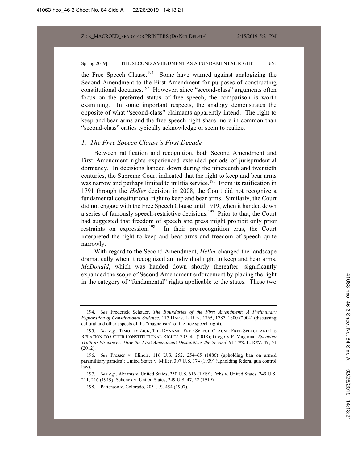the Free Speech Clause.<sup>194</sup> Some have warned against analogizing the Second Amendment to the First Amendment for purposes of constructing constitutional doctrines.195 However, since "second-class" arguments often focus on the preferred status of free speech, the comparison is worth examining. In some important respects, the analogy demonstrates the opposite of what "second-class" claimants apparently intend. The right to keep and bear arms and the free speech right share more in common than "second-class" critics typically acknowledge or seem to realize.

# *1. The Free Speech Clause's First Decade*

Between ratification and recognition, both Second Amendment and First Amendment rights experienced extended periods of jurisprudential dormancy. In decisions handed down during the nineteenth and twentieth centuries, the Supreme Court indicated that the right to keep and bear arms was narrow and perhaps limited to militia service.<sup>196</sup> From its ratification in 1791 through the *Heller* decision in 2008, the Court did not recognize a fundamental constitutional right to keep and bear arms. Similarly, the Court did not engage with the Free Speech Clause until 1919, when it handed down a series of famously speech-restrictive decisions.<sup>197</sup> Prior to that, the Court had suggested that freedom of speech and press might prohibit only prior restraints on expression.<sup>198</sup> In their pre-recognition eras, the Court interpreted the right to keep and bear arms and freedom of speech quite narrowly.

With regard to the Second Amendment, *Heller* changed the landscape dramatically when it recognized an individual right to keep and bear arms. *McDonald*, which was handed down shortly thereafter, significantly expanded the scope of Second Amendment enforcement by placing the right in the category of "fundamental" rights applicable to the states. These two

 <sup>194.</sup> *See* Frederick Schauer, *The Boundaries of the First Amendment: A Preliminary Exploration of Constitutional Salience*, 117 HARV. L. REV. 1765, 1787–1800 (2004) (discussing cultural and other aspects of the "magnetism" of the free speech right).

 <sup>195.</sup> *See e.g.*, TIMOTHY ZICK, THE DYNAMIC FREE SPEECH CLAUSE: FREE SPEECH AND ITS RELATION TO OTHER CONSTITUTIONAL RIGHTS 203–41 (2018); Gregory P. Magarian, *Speaking Truth to Firepower: How the First Amendment Destabilizes the Second*, 91 TEX. L. REV. 49, 51 (2012).

 <sup>196.</sup> *See* Presser v. Illinois, 116 U.S. 252, 254–65 (1886) (upholding ban on armed paramilitary parades); United States v. Miller, 307 U.S. 174 (1939) (upholding federal gun control law).

 <sup>197.</sup> *See e.g.*, Abrams v. United States, 250 U.S. 616 (1919); Debs v. United States, 249 U.S. 211, 216 (1919); Schenck v. United States, 249 U.S. 47, 52 (1919).

 <sup>198.</sup> Patterson v. Colorado, 205 U.S. 454 (1907).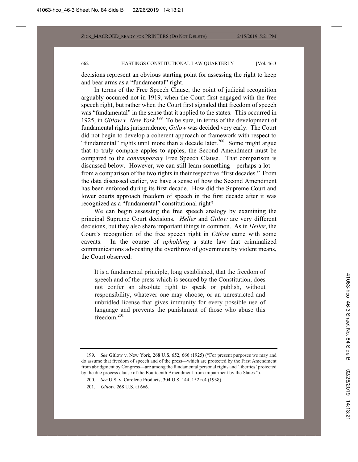decisions represent an obvious starting point for assessing the right to keep and bear arms as a "fundamental" right.

In terms of the Free Speech Clause, the point of judicial recognition arguably occurred not in 1919, when the Court first engaged with the free speech right, but rather when the Court first signaled that freedom of speech was "fundamental" in the sense that it applied to the states. This occurred in 1925, in *Gitlow v. New York.*<sup>199</sup> To be sure, in terms of the development of fundamental rights jurisprudence, *Gitlow* was decided very early. The Court did not begin to develop a coherent approach or framework with respect to "fundamental" rights until more than a decade later.<sup>200</sup> Some might argue that to truly compare apples to apples, the Second Amendment must be compared to the *contemporary* Free Speech Clause. That comparison is discussed below. However, we can still learn something––perhaps a lot–– from a comparison of the two rights in their respective "first decades." From the data discussed earlier, we have a sense of how the Second Amendment has been enforced during its first decade. How did the Supreme Court and lower courts approach freedom of speech in the first decade after it was recognized as a "fundamental" constitutional right?

We can begin assessing the free speech analogy by examining the principal Supreme Court decisions. *Heller* and *Gitlow* are very different decisions, but they also share important things in common. As in *Heller*, the Court's recognition of the free speech right in *Gitlow* came with some caveats. In the course of *upholding* a state law that criminalized communications advocating the overthrow of government by violent means, the Court observed:

It is a fundamental principle, long established, that the freedom of speech and of the press which is secured by the Constitution, does not confer an absolute right to speak or publish, without responsibility, whatever one may choose, or an unrestricted and unbridled license that gives immunity for every possible use of language and prevents the punishment of those who abuse this freedom<sup>201</sup>

 <sup>199.</sup> *See* Gitlow v. New York, 268 U.S. 652, 666 (1925) ("For present purposes we may and do assume that freedom of speech and of the press––which are protected by the First Amendment from abridgment by Congress––are among the fundamental personal rights and 'liberties' protected by the due process clause of the Fourteenth Amendment from impairment by the States.").

 <sup>200.</sup> *See* U.S. v. Carolene Products, 304 U.S. 144, 152 n.4 (1938).

 <sup>201.</sup> *Gitlow*, 268 U.S. at 666.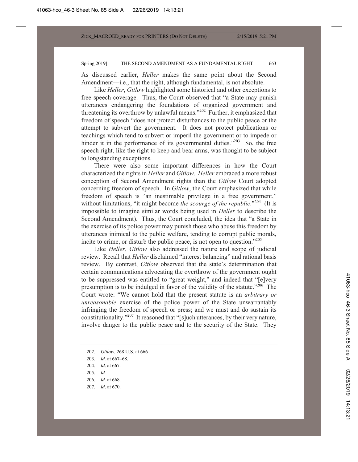As discussed earlier, *Heller* makes the same point about the Second Amendment—i.e., that the right, although fundamental, is not absolute.

Like *Heller*, *Gitlow* highlighted some historical and other exceptions to free speech coverage. Thus, the Court observed that "a State may punish utterances endangering the foundations of organized government and threatening its overthrow by unlawful means."202 Further, it emphasized that freedom of speech "does not protect disturbances to the public peace or the attempt to subvert the government. It does not protect publications or teachings which tend to subvert or imperil the government or to impede or hinder it in the performance of its governmental duties."<sup>203</sup> So, the free speech right, like the right to keep and bear arms, was thought to be subject to longstanding exceptions.

There were also some important differences in how the Court characterized the rights in *Heller* and *Gitlow*. *Heller* embraced a more robust conception of Second Amendment rights than the *Gitlow* Court adopted concerning freedom of speech. In *Gitlow*, the Court emphasized that while freedom of speech is "an inestimable privilege in a free government," without limitations, "it might become *the scourge of the republic*."<sup>204</sup> (It is impossible to imagine similar words being used in *Heller* to describe the Second Amendment). Thus, the Court concluded, the idea that "a State in the exercise of its police power may punish those who abuse this freedom by utterances inimical to the public welfare, tending to corrupt public morals, incite to crime, or disturb the public peace, is not open to question."205

Like *Heller*, *Gitlow* also addressed the nature and scope of judicial review. Recall that *Heller* disclaimed "interest balancing" and rational basis review. By contrast, *Gitlow* observed that the state's determination that certain communications advocating the overthrow of the government ought to be suppressed was entitled to "great weight," and indeed that "[e]very presumption is to be indulged in favor of the validity of the statute.<sup>"206</sup> The Court wrote: "We cannot hold that the present statute is an *arbitrary or unreasonable* exercise of the police power of the State unwarrantably infringing the freedom of speech or press; and we must and do sustain its constitutionality."207 It reasoned that "[s]uch utterances, by their very nature, involve danger to the public peace and to the security of the State. They

- 204. *Id*. at 667.
- 205. *Id.*
- 206. *Id.* at 668.
- 207. *Id*. at 670.

 <sup>202.</sup> *Gitlow*, 268 U.S. at 666*.*

 <sup>203.</sup> *Id.* at 667–68.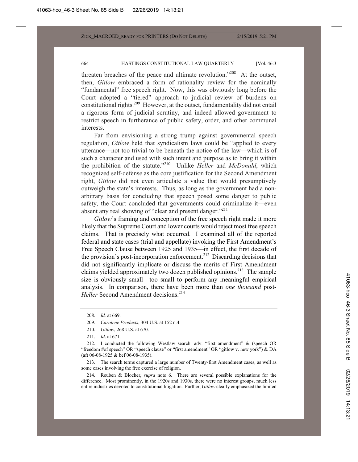threaten breaches of the peace and ultimate revolution."<sup>208</sup> At the outset, then, *Gitlow* embraced a form of rationality review for the nominally "fundamental" free speech right. Now, this was obviously long before the Court adopted a "tiered" approach to judicial review of burdens on constitutional rights.209 However, at the outset, fundamentality did not entail a rigorous form of judicial scrutiny, and indeed allowed government to restrict speech in furtherance of public safety, order, and other communal interests.

Far from envisioning a strong trump against governmental speech regulation, *Gitlow* held that syndicalism laws could be "applied to every utterance—not too trivial to be beneath the notice of the law—which is of such a character and used with such intent and purpose as to bring it within the prohibition of the statute."210 Unlike *Heller* and *McDonald*, which recognized self-defense as the core justification for the Second Amendment right, *Gitlow* did not even articulate a value that would presumptively outweigh the state's interests. Thus, as long as the government had a nonarbitrary basis for concluding that speech posed some danger to public safety, the Court concluded that governments could criminalize it––even absent any real showing of "clear and present danger."<sup>211</sup>

*Gitlow*'s framing and conception of the free speech right made it more likely that the Supreme Court and lower courts would reject most free speech claims. That is precisely what occurred. I examined all of the reported federal and state cases (trial and appellate) invoking the First Amendment's Free Speech Clause between 1925 and 1935—in effect, the first decade of the provision's post-incorporation enforcement.<sup>212</sup> Discarding decisions that did not significantly implicate or discuss the merits of First Amendment claims yielded approximately two dozen published opinions.<sup>213</sup> The sample size is obviously small––too small to perform any meaningful empirical analysis. In comparison, there have been more than *one thousand* post-*Heller* Second Amendment decisions.<sup>214</sup>

- 210. *Gitlow*, 268 U.S. at 670.
- 211. *Id*. at 671.

 212. I conducted the following Westlaw search: adv: "first amendment" & (speech OR "freedom #of speech" OR "speech clause" or "first amendment" OR "gitlow v. new york") & DA (aft 06-08-1925 & bef 06-08-1935).

 213. The search terms captured a large number of Twenty-first Amendment cases, as well as some cases involving the free exercise of religion.

 214. Reuben & Blocher, *supra* note 6. There are several possible explanations for the difference. Most prominently, in the 1920s and 1930s, there were no interest groups, much less entire industries devoted to constitutional litigation. Further, *Gitlow* clearly emphasized the limited

 <sup>208.</sup> *Id.* at 669.

 <sup>209.</sup> *Carolene Products*, 304 U.S. at 152 n.4.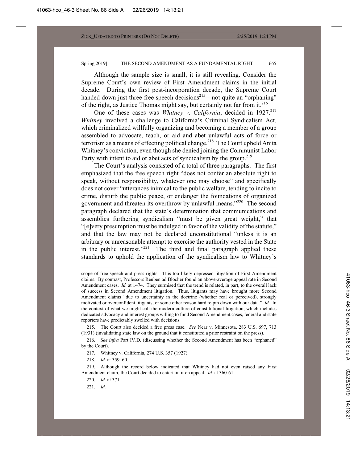Although the sample size is small, it is still revealing. Consider the Supreme Court's own review of First Amendment claims in the initial decade. During the first post-incorporation decade, the Supreme Court handed down just three free speech decisions<sup>215</sup>—not quite an "orphaning" of the right, as Justice Thomas might say, but certainly not far from it.216

One of these cases was *Whitney v. California*, decided in 1927.<sup>217</sup> *Whitney* involved a challenge to California's Criminal Syndicalism Act, which criminalized willfully organizing and becoming a member of a group assembled to advocate, teach, or aid and abet unlawful acts of force or terrorism as a means of effecting political change.<sup>218</sup> The Court upheld Anita Whitney's conviction, even though she denied joining the Communist Labor Party with intent to aid or abet acts of syndicalism by the group.<sup>219</sup>

The Court's analysis consisted of a total of three paragraphs. The first emphasized that the free speech right "does not confer an absolute right to speak, without responsibility, whatever one may choose" and specifically does not cover "utterances inimical to the public welfare, tending to incite to crime, disturb the public peace, or endanger the foundations of organized government and threaten its overthrow by unlawful means."220 The second paragraph declared that the state's determination that communications and assemblies furthering syndicalism "must be given great weight," that "[e]very presumption must be indulged in favor of the validity of the statute," and that the law may not be declared unconstitutional "unless it is an arbitrary or unreasonable attempt to exercise the authority vested in the State in the public interest."<sup>221</sup> The third and final paragraph applied these standards to uphold the application of the syndicalism law to Whitney's

 215. The Court also decided a free press case. *See* Near v. Minnesota, 283 U.S. 697, 713 (1931) (invalidating state law on the ground that it constituted a prior restraint on the press).

 216. *See infra* Part IV.D. (discussing whether the Second Amendment has been "orphaned" by the Court).

217. Whitney v. California, 274 U.S. 357 (1927).

218. *Id.* at 359–60.

 219. Although the record below indicated that Whitney had not even raised any First Amendment claim, the Court decided to entertain it on appeal. *Id.* at 360-61.

220. *Id.* at 371.

221. *Id.*

scope of free speech and press rights. This too likely depressed litigation of First Amendment claims. By contrast, Professors Reuben ad Blocher found an above-average appeal rate in Second Amendment cases. *Id.* at 1474. They surmised that the trend is related, in part, to the overall lack of success in Second Amendment litigation. Thus, litigants may have brought more Second Amendment claims "due to uncertainty in the doctrine (whether real or perceived), strongly motivated or overconfident litigants, or some other reason hard to pin down with our data." *Id.* In the context of what we might call the modern culture of constitutional litigation, which includes dedicated advocacy and interest groups willing to fund Second Amendment cases, federal and state reporters have predictably swelled with decisions.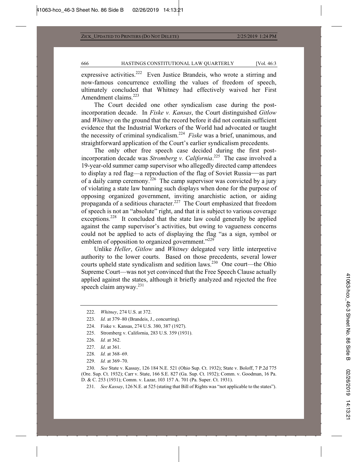expressive activities.<sup>222</sup> Even Justice Brandeis, who wrote a stirring and now-famous concurrence extolling the values of freedom of speech, ultimately concluded that Whitney had effectively waived her First Amendment claims.<sup>223</sup>

The Court decided one other syndicalism case during the postincorporation decade. In *Fiske v. Kansas*, the Court distinguished *Gitlow* and *Whitney* on the ground that the record before it did not contain sufficient evidence that the Industrial Workers of the World had advocated or taught the necessity of criminal syndicalism.<sup>224</sup> *Fiske* was a brief, unanimous, and straightforward application of the Court's earlier syndicalism precedents.

The only other free speech case decided during the first postincorporation decade was *Stromberg v. California*. 225 The case involved a 19-year-old summer camp supervisor who allegedly directed camp attendees to display a red flag––a reproduction of the flag of Soviet Russia—as part of a daily camp ceremony.<sup>226</sup> The camp supervisor was convicted by a jury of violating a state law banning such displays when done for the purpose of opposing organized government, inviting anarchistic action, or aiding propaganda of a seditious character.<sup>227</sup> The Court emphasized that freedom of speech is not an "absolute" right, and that it is subject to various coverage exceptions.<sup>228</sup> It concluded that the state law could generally be applied against the camp supervisor's activities, but owing to vagueness concerns could not be applied to acts of displaying the flag "as a sign, symbol or emblem of opposition to organized government."<sup>229</sup>

Unlike *Heller*, *Gitlow* and *Whitney* delegated very little interpretive authority to the lower courts. Based on those precedents, several lower courts upheld state syndicalism and sedition laws.<sup>230</sup> One court—the Ohio Supreme Court––was not yet convinced that the Free Speech Clause actually applied against the states, although it briefly analyzed and rejected the free speech claim anyway. $^{231}$ 

- 228. *Id.* at 368–69.
- 229. *Id.* at 369–70.

 230. *See* State v. Kassay, 126 184 N.E. 521 (Ohio Sup. Ct. 1932); State v. Boloff, 7 P.2d 775 (Ore. Sup. Ct. 1932); Carr v. State, 166 S.E. 827 (Ga. Sup. Ct. 1932); Comm. v. Goodman, 16 Pa. D. & C. 253 (1931); Comm. v. Lazar, 103 157 A. 701 (Pa. Super. Ct. 1931).

231. *See Kassay*, 126 N.E. at 525 (stating that Bill of Rights was "not applicable to the states").

 <sup>222.</sup> *Whitney*, 274 U.S. at 372.

 <sup>223.</sup> *Id.* at 379–80 (Brandeis, J., concurring).

 <sup>224.</sup> Fiske v. Kansas, 274 U.S. 380, 387 (1927).

 <sup>225.</sup> Stromberg v. California, 283 U.S. 359 (1931).

 <sup>226.</sup> *Id.* at 362.

 <sup>227.</sup> *Id*. at 361.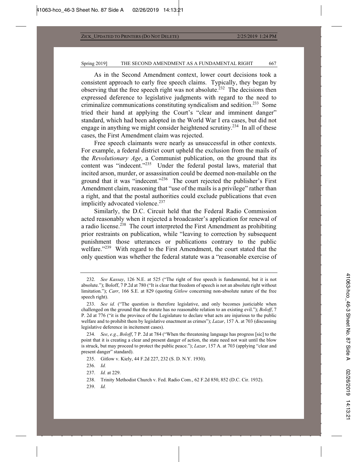As in the Second Amendment context, lower court decisions took a consistent approach to early free speech claims. Typically, they began by observing that the free speech right was not absolute.<sup>232</sup> The decisions then expressed deference to legislative judgments with regard to the need to criminalize communications constituting syndicalism and sedition.233 Some tried their hand at applying the Court's "clear and imminent danger" standard, which had been adopted in the World War I era cases, but did not engage in anything we might consider heightened scrutiny.<sup>234</sup> In all of these cases, the First Amendment claim was rejected.

Free speech claimants were nearly as unsuccessful in other contexts. For example, a federal district court upheld the exclusion from the mails of the *Revolutionary Age*, a Communist publication, on the ground that its content was "indecent."<sup>235</sup> Under the federal postal laws, material that incited arson, murder, or assassination could be deemed non-mailable on the ground that it was "indecent."236 The court rejected the publisher's First Amendment claim, reasoning that "use of the mails is a privilege" rather than a right, and that the postal authorities could exclude publications that even implicitly advocated violence.<sup>237</sup>

Similarly, the D.C. Circuit held that the Federal Radio Commission acted reasonably when it rejected a broadcaster's application for renewal of a radio license.<sup>238</sup> The court interpreted the First Amendment as prohibiting prior restraints on publication, while "leaving to correction by subsequent punishment those utterances or publications contrary to the public welfare."<sup>239</sup> With regard to the First Amendment, the court stated that the only question was whether the federal statute was a "reasonable exercise of

235. Gitlow v. Kiely, 44 F.2d 227, 232 (S. D. N.Y. 1930).

237. *Id.* at 229.

238. Trinity Methodist Church v. Fed. Radio Com., 62 F.2d 850, 852 (D.C. Cir. 1932).

239. *Id.*

 <sup>232.</sup> *See Kassay*, 126 N.E. at 525 ("The right of free speech is fundamental, but it is not absolute."); Boloff, 7 P.2d at 780 ("It is clear that freedom of speech is not an absolute right without limitation."); *Carr*, 166 S.E. at 829 (quoting *Gitlow* concerning non-absolute nature of the free speech right).

 <sup>233.</sup> *See id.* ("The question is therefore legislative, and only becomes justiciable when challenged on the ground that the statute has no reasonable relation to an existing evil."); *Boloff*, 7 P. 2d at 776 ("it is the province of the Legislature to declare what acts are injurious to the public welfare and to prohibit them by legislative enactment as crimes"); *Lazar*, 157 A. at 703 (discussing legislative deference in incitement cases).

 <sup>234.</sup> *See*, *e.g.*, *Boloff*, 7 P. 2d at 784 ("When the threatening language has progress [sic] to the point that it is creating a clear and present danger of action, the state need not wait until the blow is struck, but may proceed to protect the public peace."); *Lazar*, 157 A. at 703 (applying "clear and present danger" standard).

 <sup>236.</sup> *Id.*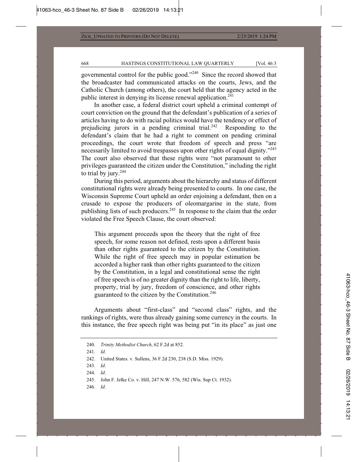governmental control for the public good."240 Since the record showed that the broadcaster had communicated attacks on the courts, Jews, and the Catholic Church (among others), the court held that the agency acted in the public interest in denying its license renewal application.<sup>241</sup>

In another case, a federal district court upheld a criminal contempt of court conviction on the ground that the defendant's publication of a series of articles having to do with racial politics would have the tendency or effect of prejudicing jurors in a pending criminal trial. $242$  Responding to the defendant's claim that he had a right to comment on pending criminal proceedings, the court wrote that freedom of speech and press "are necessarily limited to avoid trespasses upon other rights of equal dignity."<sup>243</sup> The court also observed that these rights were "not paramount to other privileges guaranteed the citizen under the Constitution," including the right to trial by jury.<sup>244</sup>

During this period, arguments about the hierarchy and status of different constitutional rights were already being presented to courts. In one case, the Wisconsin Supreme Court upheld an order enjoining a defendant, then on a crusade to expose the producers of oleomargarine in the state, from publishing lists of such producers.<sup>245</sup> In response to the claim that the order violated the Free Speech Clause, the court observed:

This argument proceeds upon the theory that the right of free speech, for some reason not defined, rests upon a different basis than other rights guaranteed to the citizen by the Constitution. While the right of free speech may in popular estimation be accorded a higher rank than other rights guaranteed to the citizen by the Constitution, in a legal and constitutional sense the right of free speech is of no greater dignity than the right to life, liberty, property, trial by jury, freedom of conscience, and other rights guaranteed to the citizen by the Constitution.246

Arguments about "first-class" and "second class" rights, and the rankings of rights, were thus already gaining some currency in the courts. In this instance, the free speech right was being put "in its place" as just one

244. *Id*.

246. *Id.*

 <sup>240.</sup> *Trinity Methodist Church*, 62 F.2d at 852*.*

 <sup>241.</sup> *Id.*

 <sup>242.</sup> United States. v. Sullens, 36 F.2d 230, 238 (S.D. Miss. 1929).

 <sup>243.</sup> *Id*.

 <sup>245.</sup> John F. Jelke Co. v. Hill, 247 N.W. 576, 582 (Wis. Sup Ct. 1932).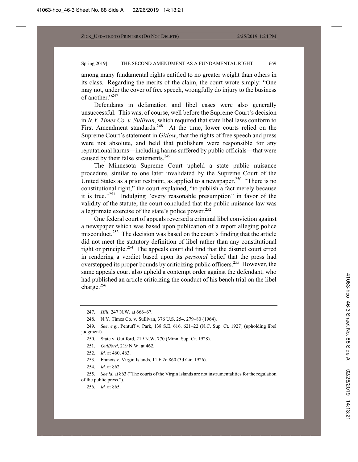among many fundamental rights entitled to no greater weight than others in its class. Regarding the merits of the claim, the court wrote simply: "One may not, under the cover of free speech, wrongfully do injury to the business of another."<sup>247</sup>

Defendants in defamation and libel cases were also generally unsuccessful. This was, of course, well before the Supreme Court's decision in *N.Y. Times Co. v. Sullivan*, which required that state libel laws conform to First Amendment standards.<sup>248</sup> At the time, lower courts relied on the Supreme Court's statement in *Gitlow*, that the rights of free speech and press were not absolute, and held that publishers were responsible for any reputational harms––including harms suffered by public officials––that were caused by their false statements.<sup>249</sup>

The Minnesota Supreme Court upheld a state public nuisance procedure, similar to one later invalidated by the Supreme Court of the United States as a prior restraint, as applied to a newspaper.<sup>250</sup> "There is no constitutional right," the court explained, "to publish a fact merely because it is true."251 Indulging "every reasonable presumption" in favor of the validity of the statute, the court concluded that the public nuisance law was a legitimate exercise of the state's police power.<sup>252</sup>

One federal court of appeals reversed a criminal libel conviction against a newspaper which was based upon publication of a report alleging police misconduct.<sup>253</sup> The decision was based on the court's finding that the article did not meet the statutory definition of libel rather than any constitutional right or principle.254 The appeals court did find that the district court erred in rendering a verdict based upon its *personal* belief that the press had overstepped its proper bounds by criticizing public officers.<sup>255</sup> However, the same appeals court also upheld a contempt order against the defendant, who had published an article criticizing the conduct of his bench trial on the libel charge. $256$ 

248. N.Y. Times Co. v. Sullivan, 376 U.S. 254, 279–80 (1964).

- 253. Francis v. Virgin Islands, 11 F.2d 860 (3d Cir. 1926).
- 254. *Id.* at 862.

 <sup>247.</sup> *Hill*, 247 N.W. at 666–67.

 <sup>249.</sup> *See*, *e.g.*, Pentuff v. Park, 138 S.E. 616, 621–22 (N.C. Sup. Ct. 1927) (upholding libel judgment).

 <sup>250.</sup> State v. Guilford, 219 N.W. 770 (Minn. Sup. Ct. 1928).

 <sup>251.</sup> *Guilford*, 219 N.W. at 462.

 <sup>252.</sup> *Id.* at 460, 463.

 <sup>255.</sup> *See id.* at 863 ("The courts of the Virgin Islands are not instrumentalities for the regulation of the public press.").

 <sup>256.</sup> *Id.* at 865.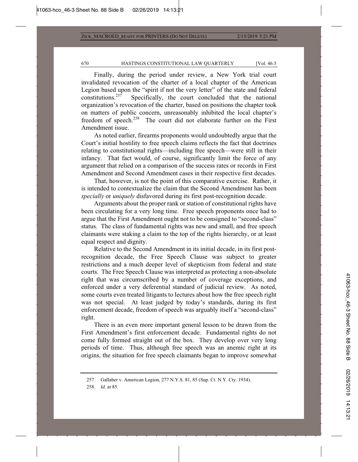Finally, during the period under review, a New York trial court invalidated revocation of the charter of a local chapter of the American Legion based upon the "spirit if not the very letter" of the state and federal constitutions.<sup>257</sup> Specifically, the court concluded that the national organization's revocation of the charter, based on positions the chapter took on matters of public concern, unreasonably inhibited the local chapter's freedom of speech.<sup>258</sup> The court did not elaborate further on the First Amendment issue.

As noted earlier, firearms proponents would undoubtedly argue that the Court's initial hostility to free speech claims reflects the fact that doctrines relating to constitutional rights––including free speech––were still in their infancy. That fact would, of course, significantly limit the force of any argument that relied on a comparison of the success rates or records in First Amendment and Second Amendment cases in their respective first decades.

That, however, is not the point of this comparative exercise. Rather, it is intended to contextualize the claim that the Second Amendment has been *specially* or *uniquely* disfavored during its first post-recognition decade.

Arguments about the proper rank or station of constitutional rights have been circulating for a very long time. Free speech proponents once had to argue that the First Amendment ought not to be consigned to "second-class" status. The class of fundamental rights was new and small, and free speech claimants were staking a claim to the top of the rights hierarchy, or at least equal respect and dignity.

Relative to the Second Amendment in its initial decade, in its first postrecognition decade, the Free Speech Clause was subject to greater restrictions and a much deeper level of skepticism from federal and state courts. The Free Speech Clause was interpreted as protecting a non-absolute right that was circumscribed by a number of coverage exceptions, and enforced under a very deferential standard of judicial review. As noted, some courts even treated litigants to lectures about how the free speech right was not special. At least judged by today's standards, during its first enforcement decade, freedom of speech was arguably itself a "second-class" right.

There is an even more important general lesson to be drawn from the First Amendment's first enforcement decade. Fundamental rights do not come fully formed straight out of the box. They develop over very long periods of time. Thus, although free speech was an anemic right at its origins, the situation for free speech claimants began to improve somewhat

 <sup>257.</sup> Gallaher v. American Legion, 277 N.Y.S. 81, 85 (Sup. Ct. N.Y. Cty. 1934).

 <sup>258.</sup> *Id.* at 85.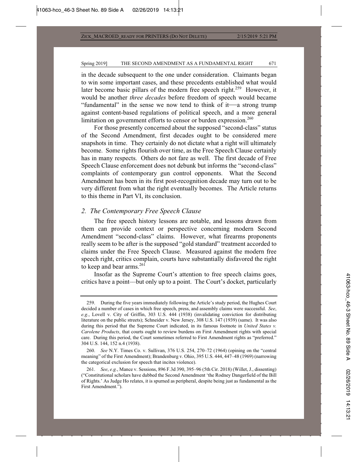in the decade subsequent to the one under consideration. Claimants began to win some important cases, and these precedents established what would later become basic pillars of the modern free speech right.<sup>259</sup> However, it would be another *three decades* before freedom of speech would became "fundamental" in the sense we now tend to think of it—a strong trump against content-based regulations of political speech, and a more general limitation on government efforts to censor or burden expression. $260$ 

For those presently concerned about the supposed "second-class" status of the Second Amendment, first decades ought to be considered mere snapshots in time. They certainly do not dictate what a right will ultimately become. Some rights flourish over time, as the Free Speech Clause certainly has in many respects. Others do not fare as well. The first decade of Free Speech Clause enforcement does not debunk but informs the "second-class" complaints of contemporary gun control opponents. What the Second Amendment has been in its first post-recognition decade may turn out to be very different from what the right eventually becomes. The Article returns to this theme in Part VI, its conclusion.

# *2. The Contemporary Free Speech Clause*

The free speech history lessons are notable, and lessons drawn from them can provide context or perspective concerning modern Second Amendment "second-class" claims. However, what firearms proponents really seem to be after is the supposed "gold standard" treatment accorded to claims under the Free Speech Clause. Measured against the modern free speech right, critics complain, courts have substantially disfavored the right to keep and bear arms. $^{261}$ 

Insofar as the Supreme Court's attention to free speech claims goes, critics have a point––but only up to a point. The Court's docket, particularly

 <sup>259.</sup> During the five years immediately following the Article's study period, the Hughes Court decided a number of cases in which free speech, press, and assembly claims were successful. *See*, *e.g.*, Lovell v. City of Griffin, 303 U.S. 444 (1938) (invalidating conviction for distributing literature on the public streets); Schneider v. New Jersey, 308 U.S. 147 (1939) (same). It was also during this period that the Supreme Court indicated, in its famous footnote in *United States v. Carolene Products*, that courts ought to review burdens on First Amendment rights with special care. During this period, the Court sometimes referred to First Amendment rights as "preferred." 304 U.S. 144, 152 n.4 (1938).

 <sup>260.</sup> *See* N.Y. Times Co. v. Sullivan, 376 U.S. 254, 270–72 (1964) (opining on the "central meaning" of the First Amendment); Brandenburg v. Ohio, 395 U.S. 444, 447–48 (1969) (narrowing the categorical exclusion for speech that incites violence).

 <sup>261.</sup> *See*, *e.g.*, Mance v. Sessions, 896 F.3d 390, 395–96 (5th Cir. 2018) (Willet, J., dissenting) ("Constitutional scholars have dubbed the Second Amendment 'the Rodney Dangerfield of the Bill of Rights.' As Judge Ho relates, it is spurned as peripheral, despite being just as fundamental as the First Amendment.").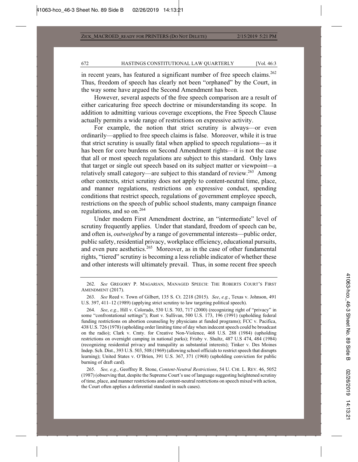in recent years, has featured a significant number of free speech claims.<sup>262</sup> Thus, freedom of speech has clearly not been "orphaned" by the Court, in the way some have argued the Second Amendment has been.

However, several aspects of the free speech comparison are a result of either caricaturing free speech doctrine or misunderstanding its scope. In addition to admitting various coverage exceptions, the Free Speech Clause actually permits a wide range of restrictions on expressive activity.

For example, the notion that strict scrutiny is always––or even ordinarily––applied to free speech claims is false. Moreover, while it is true that strict scrutiny is usually fatal when applied to speech regulations––as it has been for core burdens on Second Amendment rights--- it is not the case that all or most speech regulations are subject to this standard. Only laws that target or single out speech based on its subject matter or viewpoint––a relatively small category—are subject to this standard of review.<sup>263</sup> Among other contexts, strict scrutiny does not apply to content-neutral time, place, and manner regulations, restrictions on expressive conduct, spending conditions that restrict speech, regulations of government employee speech, restrictions on the speech of public school students, many campaign finance regulations, and so on. $264$ 

Under modern First Amendment doctrine, an "intermediate" level of scrutiny frequently applies. Under that standard, freedom of speech can be, and often is, *outweighed* by a range of governmental interests––public order, public safety, residential privacy, workplace efficiency, educational pursuits, and even pure aesthetics.<sup>265</sup> Moreover, as in the case of other fundamental rights, "tiered" scrutiny is becoming a less reliable indicator of whether these and other interests will ultimately prevail. Thus, in some recent free speech

 265. *See, e.g.*, Geoffrey R. Stone, *Content-Neutral Restrictions*, 54 U. CHI. L. REV. 46, 5052 (1987) (observing that, despite the Supreme Court's use of language suggesting heightened scrutiny of time, place, and manner restrictions and content-neutral restrictions on speech mixed with action, the Court often applies a deferential standard in such cases).

 <sup>262.</sup> *See* GREGORY P. MAGARIAN, MANAGED SPEECH: THE ROBERTS COURT'S FIRST AMENDMENT (2017).

 <sup>263.</sup> *See* Reed v. Town of Gilbert, 135 S. Ct. 2218 (2015). *See*, *e.g.*, Texas v. Johnson, 491 U.S. 397, 411–12 (1989) (applying strict scrutiny to law targeting political speech).

 <sup>264.</sup> *See*, *e.g.*, Hill v. Colorado, 530 U.S. 703, 717 (2000) (recognizing right of "privacy" in some "confrontational settings"); Rust v. Sullivan, 500 U.S. 173, 196 (1991) (upholding federal funding restrictions on abortion counseling by physicians at funded programs); FCC v. Pacifica, 438 U.S. 726 (1978) (upholding order limiting time of day when indecent speech could be broadcast on the radio); Clark v. Cmty. for Creative Non-Violence, 468 U.S. 288 (1984) (upholding restrictions on overnight camping in national parks); Frisby v. Shultz, 487 U.S 474, 484 (1984) (recognizing residential privacy and tranquility as substantial interests); Tinker v. Des Moines Indep. Sch. Dist., 393 U.S. 503, 508 (1969) (allowing school officials to restrict speech that disrupts learning); United States v. O'Brien, 391 U.S. 367, 371 (1968) (upholding conviction for public burning of draft card).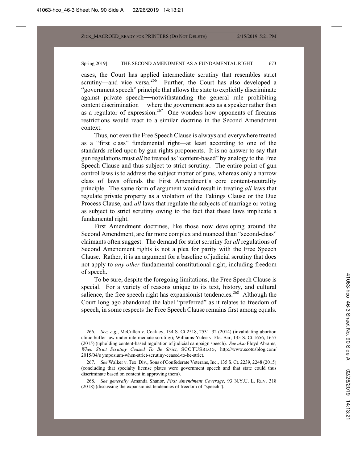cases, the Court has applied intermediate scrutiny that resembles strict scrutiny—and vice versa.<sup>266</sup> Further, the Court has also developed a "government speech" principle that allows the state to explicitly discriminate against private speech—notwithstanding the general rule prohibiting content discrimination—where the government acts as a speaker rather than as a regulator of expression.<sup>267</sup> One wonders how opponents of firearms restrictions would react to a similar doctrine in the Second Amendment context.

Thus, not even the Free Speech Clause is always and everywhere treated as a "first class" fundamental right––at least according to one of the standards relied upon by gun rights proponents. It is no answer to say that gun regulations must *all* be treated as "content-based" by analogy to the Free Speech Clause and thus subject to strict scrutiny. The entire point of gun control laws is to address the subject matter of guns, whereas only a narrow class of laws offends the First Amendment's core content-neutrality principle. The same form of argument would result in treating *all* laws that regulate private property as a violation of the Takings Clause or the Due Process Clause, and *all* laws that regulate the subjects of marriage or voting as subject to strict scrutiny owing to the fact that these laws implicate a fundamental right.

First Amendment doctrines, like those now developing around the Second Amendment, are far more complex and nuanced than "second-class" claimants often suggest. The demand for strict scrutiny for *all* regulations of Second Amendment rights is not a plea for parity with the Free Speech Clause. Rather, it is an argument for a baseline of judicial scrutiny that does not apply to *any other* fundamental constitutional right, including freedom of speech.

To be sure, despite the foregoing limitations, the Free Speech Clause is special. For a variety of reasons unique to its text, history, and cultural salience, the free speech right has expansionist tendencies.<sup>268</sup> Although the Court long ago abandoned the label "preferred" as it relates to freedom of speech, in some respects the Free Speech Clause remains first among equals.

 <sup>266.</sup> *See, e.g.*, McCullen v. Coakley, 134 S. Ct 2518, 2531–32 (2014) (invalidating abortion clinic buffer law under intermediate scrutiny); Williams-Yulee v. Fla. Bar, 135 S. Ct 1656, 1657 (2015) (upholding content-based regulation of judicial campaign speech). *See also* Floyd Abrams, *When Strict Scrutiny Ceased To Be Strict*, SCOTUSBLOG, http://www.scotusblog.com/ 2015/04/s ymposium-when-strict-scrutiny-ceased-to-be-strict.

 <sup>267.</sup> *See* Walker v. Tex. Div., Sons of Confederate Veterans, Inc., 135 S. Ct. 2239, 2248 (2015) (concluding that specialty license plates were government speech and that state could thus discriminate based on content in approving them).

 <sup>268.</sup> *See generally* Amanda Shanor, *First Amendment Coverage*, 93 N.Y.U. L. REV. 318 (2018) (discussing the expansionist tendencies of freedom of "speech").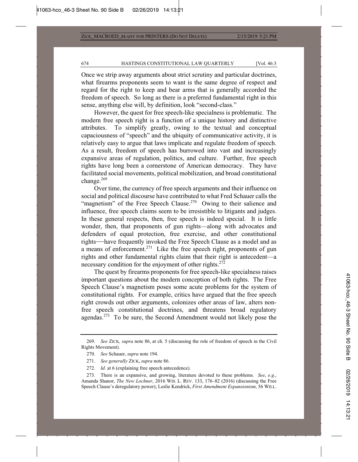Once we strip away arguments about strict scrutiny and particular doctrines, what firearms proponents seem to want is the same degree of respect and regard for the right to keep and bear arms that is generally accorded the freedom of speech. So long as there is a preferred fundamental right in this sense, anything else will, by definition, look "second-class."

However, the quest for free speech-like specialness is problematic. The modern free speech right is a function of a unique history and distinctive attributes. To simplify greatly, owing to the textual and conceptual capaciousness of "speech" and the ubiquity of communicative activity, it is relatively easy to argue that laws implicate and regulate freedom of speech. As a result, freedom of speech has burrowed into vast and increasingly expansive areas of regulation, politics, and culture. Further, free speech rights have long been a cornerstone of American democracy. They have facilitated social movements, political mobilization, and broad constitutional change.<sup>269</sup>

Over time, the currency of free speech arguments and their influence on social and political discourse have contributed to what Fred Schauer calls the "magnetism" of the Free Speech Clause.<sup>270</sup> Owing to their salience and influence, free speech claims seem to be irresistible to litigants and judges. In these general respects, then, free speech is indeed special. It is little wonder, then, that proponents of gun rights—along with advocates and defenders of equal protection, free exercise, and other constitutional rights—have frequently invoked the Free Speech Clause as a model and as a means of enforcement.<sup>271</sup> Like the free speech right, proponents of gun rights and other fundamental rights claim that their right is antecedent––a necessary condition for the enjoyment of other rights.<sup>272</sup>

The quest by firearms proponents for free speech-like specialness raises important questions about the modern conception of both rights. The Free Speech Clause's magnetism poses some acute problems for the system of constitutional rights. For example, critics have argued that the free speech right crowds out other arguments, colonizes other areas of law, alters nonfree speech constitutional doctrines, and threatens broad regulatory agendas.273 To be sure, the Second Amendment would not likely pose the

 <sup>269.</sup> *See* ZICK*, supra* note 86, at ch. 5 (discussing the role of freedom of speech in the Civil Rights Movement).

 <sup>270.</sup> *See* Schauer, *supra* note 194.

 <sup>271.</sup> *See generally* ZICK, *supra* note 86.

 <sup>272.</sup> *Id.* at 6 (explaining free speech antecedence).

 <sup>273.</sup> There is an expansive, and growing, literature devoted to these problems. *See*, *e.g.*, Amanda Shanor, *The New Lochner*, 2016 WIS. L. REV. 133, 176–82 (2016) (discussing the Free Speech Clause's deregulatory power); Leslie Kendrick, *First Amendment Expansionism*, 56 WILL.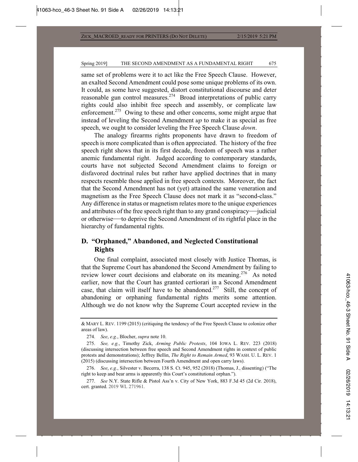same set of problems were it to act like the Free Speech Clause. However, an exalted Second Amendment could pose some unique problems of its own. It could, as some have suggested, distort constitutional discourse and deter reasonable gun control measures.<sup>274</sup> Broad interpretations of public carry rights could also inhibit free speech and assembly, or complicate law enforcement.<sup>275</sup> Owing to these and other concerns, some might argue that instead of leveling the Second Amendment *up* to make it as special as free speech, we ought to consider leveling the Free Speech Clause *down*.

The analogy firearms rights proponents have drawn to freedom of speech is more complicated than is often appreciated. The history of the free speech right shows that in its first decade, freedom of speech was a rather anemic fundamental right. Judged according to contemporary standards, courts have not subjected Second Amendment claims to foreign or disfavored doctrinal rules but rather have applied doctrines that in many respects resemble those applied in free speech contexts. Moreover, the fact that the Second Amendment has not (yet) attained the same veneration and magnetism as the Free Speech Clause does not mark it as "second-class." Any difference in status or magnetism relates more to the unique experiences and attributes of the free speech right than to any grand conspiracy—judicial or otherwise—to deprive the Second Amendment of its rightful place in the hierarchy of fundamental rights.

# **D. "Orphaned," Abandoned, and Neglected Constitutional Rights**

One final complaint, associated most closely with Justice Thomas, is that the Supreme Court has abandoned the Second Amendment by failing to review lower court decisions and elaborate on its meaning.<sup>276</sup> As noted earlier, now that the Court has granted certiorari in a Second Amendment case, that claim will itself have to be abandoned.<sup>277</sup> Still, the concept of abandoning or orphaning fundamental rights merits some attention. Although we do not know why the Supreme Court accepted review in the

<sup>&</sup>amp; MARY L. REV. 1199 (2015) (critiquing the tendency of the Free Speech Clause to colonize other areas of law).

 <sup>274.</sup> *See*, *e.g.*, Blocher, *supra* note 10.

 <sup>275.</sup> *See, e.g.*, Timothy Zick, *Arming Public Protests*, 104 IOWA L. REV. 223 (2018) (discussing intersection between free speech and Second Amendment rights in context of public protests and demonstrations); Jeffrey Bellin, *The Right to Remain Armed*, 93 WASH. U. L. REV. 1 (2015) (discussing intersection between Fourth Amendment and open carry laws).

 <sup>276.</sup> *See*, *e.g.*, Silvester v. Becerra, 138 S. Ct. 945, 952 (2018) (Thomas, J., dissenting) ("The right to keep and bear arms is apparently this Court's constitutional orphan.").

 <sup>277.</sup> *See* N.Y. State Rifle & Pistol Ass'n v. City of New York, 883 F.3d 45 (2d Cir. 2018), cert. granted. 2019 WL 271961.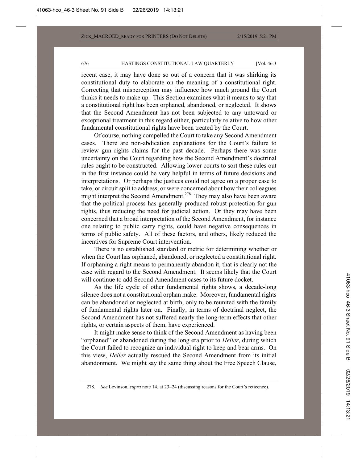recent case, it may have done so out of a concern that it was shirking its constitutional duty to elaborate on the meaning of a constitutional right. Correcting that misperception may influence how much ground the Court thinks it needs to make up. This Section examines what it means to say that a constitutional right has been orphaned, abandoned, or neglected. It shows that the Second Amendment has not been subjected to any untoward or exceptional treatment in this regard either, particularly relative to how other fundamental constitutional rights have been treated by the Court.

Of course, nothing compelled the Court to take any Second Amendment cases. There are non-abdication explanations for the Court's failure to review gun rights claims for the past decade. Perhaps there was some uncertainty on the Court regarding how the Second Amendment's doctrinal rules ought to be constructed. Allowing lower courts to sort these rules out in the first instance could be very helpful in terms of future decisions and interpretations. Or perhaps the justices could not agree on a proper case to take, or circuit split to address, or were concerned about how their colleagues might interpret the Second Amendment.<sup>278</sup> They may also have been aware that the political process has generally produced robust protection for gun rights, thus reducing the need for judicial action. Or they may have been concerned that a broad interpretation of the Second Amendment, for instance one relating to public carry rights, could have negative consequences in terms of public safety. All of these factors, and others, likely reduced the incentives for Supreme Court intervention.

There is no established standard or metric for determining whether or when the Court has orphaned, abandoned, or neglected a constitutional right. If orphaning a right means to permanently abandon it, that is clearly not the case with regard to the Second Amendment. It seems likely that the Court will continue to add Second Amendment cases to its future docket.

As the life cycle of other fundamental rights shows, a decade-long silence does not a constitutional orphan make. Moreover, fundamental rights can be abandoned or neglected at birth, only to be reunited with the family of fundamental rights later on. Finally, in terms of doctrinal neglect, the Second Amendment has not suffered nearly the long-term effects that other rights, or certain aspects of them, have experienced.

It might make sense to think of the Second Amendment as having been "orphaned" or abandoned during the long era prior to *Heller*, during which the Court failed to recognize an individual right to keep and bear arms. On this view, *Heller* actually rescued the Second Amendment from its initial abandonment. We might say the same thing about the Free Speech Clause,

 <sup>278.</sup> *See* Levinson, *supra* note 14, at 23–24 (discussing reasons for the Court's reticence).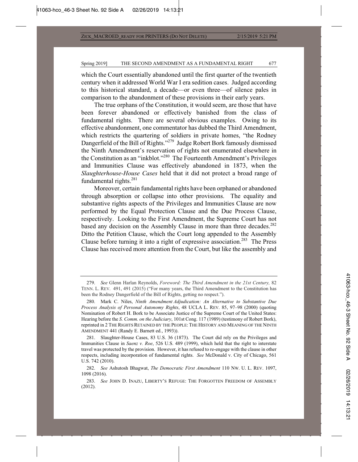which the Court essentially abandoned until the first quarter of the twentieth century when it addressed World War I era sedition cases. Judged according to this historical standard, a decade––or even three––of silence pales in comparison to the abandonment of these provisions in their early years.

The true orphans of the Constitution, it would seem, are those that have been forever abandoned or effectively banished from the class of fundamental rights. There are several obvious examples. Owing to its effective abandonment, one commentator has dubbed the Third Amendment, which restricts the quartering of soldiers in private homes, "the Rodney Dangerfield of the Bill of Rights."<sup>279</sup> Judge Robert Bork famously dismissed the Ninth Amendment's reservation of rights not enumerated elsewhere in the Constitution as an "inkblot."280 The Fourteenth Amendment's Privileges and Immunities Clause was effectively abandoned in 1873, when the *Slaughterhouse-House Cases* held that it did not protect a broad range of fundamental rights. $^{281}$ 

Moreover, certain fundamental rights have been orphaned or abandoned through absorption or collapse into other provisions. The equality and substantive rights aspects of the Privileges and Immunities Clause are now performed by the Equal Protection Clause and the Due Process Clause, respectively. Looking to the First Amendment, the Supreme Court has not based any decision on the Assembly Clause in more than three decades.<sup>282</sup> Ditto the Petition Clause, which the Court long appended to the Assembly Clause before turning it into a right of expressive association.<sup>283</sup> The Press Clause has received more attention from the Court, but like the assembly and

 <sup>279.</sup> *See* Glenn Harlan Reynolds, *Foreword: The Third Amendment in the 21st Century,* 82 TENN. L. REV. 491, 491 (2015) ("For many years, the Third Amendment to the Constitution has been the Rodney Dangerfield of the Bill of Rights, getting no respect.").

 <sup>280.</sup> Mark C. Niles, *Ninth Amendment Adjudication: An Alternative to Substantive Due Process Analysis of Personal Autonomy Rights*, 48 UCLA L. REV. 85, 97–98 (2000) (quoting Nomination of Robert H. Bork to be Associate Justice of the Supreme Court of the United States: Hearing before the *S. Comm. on the Judiciary*, 101st Cong. 117 (1989) (testimony of Robert Bork), reprinted in 2 THE RIGHTS RETAINED BY THE PEOPLE: THE HISTORY AND MEANING OF THE NINTH AMENDMENT 441 (Randy E. Barnett ed., 1993)).

 <sup>281.</sup> Slaughter-House Cases, 83 U.S. 36 (1873). The Court did rely on the Privileges and Immunities Clause in *Saenz v. Roe*, 526 U.S. 489 (1999), which held that the right to interstate travel was protected by the provision. However, it has refused to re-engage with the clause in other respects, including incorporation of fundamental rights. *See* McDonald v. City of Chicago, 561 U.S. 742 (2010).

 <sup>282.</sup> *See* Ashutosh Bhagwat, *The Democratic First Amendment* 110 NW. U. L. REV. 1097, 1098 (2016).

 <sup>283.</sup> *See* JOHN D. INAZU, LIBERTY'S REFUGE: THE FORGOTTEN FREEDOM OF ASSEMBLY (2012).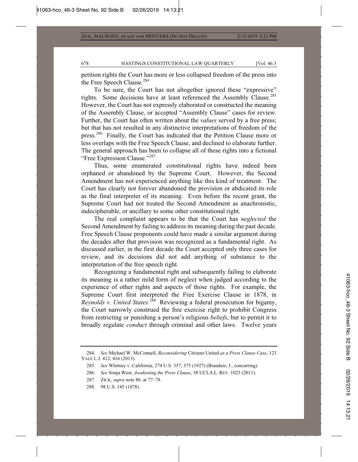petition rights the Court has more or less collapsed freedom of the press into the Free Speech Clause.<sup>284</sup>

To be sure, the Court has not altogether ignored these "expressive" rights. Some decisions have at least referenced the Assembly Clause.<sup>285</sup> However, the Court has not expressly elaborated or constructed the meaning of the Assembly Clause, or accepted "Assembly Clause" cases for review. Further, the Court has often written about the *values* served by a free press; but that has not resulted in any distinctive interpretations of freedom of the press.286 Finally, the Court has indicated that the Petition Clause more or less overlaps with the Free Speech Clause, and declined to elaborate further. The general approach has been to collapse all of these rights into a fictional "Free Expression Clause."<sup>287</sup>

Thus, some enumerated constitutional rights have indeed been orphaned or abandoned by the Supreme Court. However, the Second Amendment has not experienced anything like this kind of treatment. The Court has clearly not forever abandoned the provision or abdicated its role as the final interpreter of its meaning. Even before the recent grant, the Supreme Court had not treated the Second Amendment as anachronistic, indecipherable, or ancillary to some other constitutional right.

The real complaint appears to be that the Court has *neglected* the Second Amendment by failing to address its meaning during the past decade. Free Speech Clause proponents could have made a similar argument during the decades after that provision was recognized as a fundamental right. As discussed earlier, in the first decade the Court accepted only three cases for review, and its decisions did not add anything of substance to the interpretation of the free speech right.

Recognizing a fundamental right and subsequently failing to elaborate its meaning is a rather mild form of neglect when judged according to the experience of other rights and aspects of those rights. For example, the Supreme Court first interpreted the Free Exercise Clause in 1878, in *Reynolds v. United States*. 288 Reviewing a federal prosecution for bigamy, the Court narrowly construed the free exercise right to prohibit Congress from restricting or punishing a person's religious *beliefs*, but to permit it to broadly regulate *conduct* through criminal and other laws. Twelve years

- 287. ZICK, *supra* note 86, at 77–78.
- 288. 98 U.S. 145 (1878).

 <sup>284.</sup> *See* Michael W. McConnell, *Reconsidering* Citizens United *as a Press Clause Case*, 123 YALE L.J. 412, 416 (2013).

 <sup>285.</sup> *See* Whitney v. California, 274 U.S. 357, 375 (1927) (Brandeis, J., concurring).

 <sup>286.</sup> *See* Sonja West, *Awakening the Press Clause*, 58 UCLA L. REV. 1025 (2011).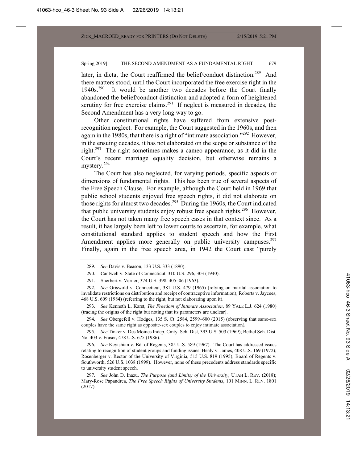later, in dicta, the Court reaffirmed the belief/conduct distinction.<sup>289</sup> And there matters stood, until the Court incorporated the free exercise right in the  $1940s$ <sup>290</sup> It would be another two decades before the Court finally abandoned the belief/conduct distinction and adopted a form of heightened scrutiny for free exercise claims.<sup>291</sup> If neglect is measured in decades, the Second Amendment has a very long way to go.

Other constitutional rights have suffered from extensive postrecognition neglect. For example, the Court suggested in the 1960s, and then again in the 1980s, that there is a right of "intimate association."<sup>292</sup> However, in the ensuing decades, it has not elaborated on the scope or substance of the right.<sup>293</sup> The right sometimes makes a cameo appearance, as it did in the Court's recent marriage equality decision, but otherwise remains a mystery.<sup>294</sup>

The Court has also neglected, for varying periods, specific aspects or dimensions of fundamental rights. This has been true of several aspects of the Free Speech Clause. For example, although the Court held in 1969 that public school students enjoyed free speech rights, it did not elaborate on those rights for almost two decades.<sup>295</sup> During the 1960s, the Court indicated that public university students enjoy robust free speech rights.<sup>296</sup> However, the Court has not taken many free speech cases in that context since. As a result, it has largely been left to lower courts to ascertain, for example, what constitutional standard applies to student speech and how the First Amendment applies more generally on public university campuses.<sup>297</sup> Finally, again in the free speech area, in 1942 the Court cast "purely

 293. *See* Kenneth L. Karst, *The Freedom of Intimate Association*, 89 YALE L.J. 624 (1980) (tracing the origins of the right but noting that its parameters are unclear).

 294. *See* Obergefell v. Hodges, 135 S. Ct. 2584, 2599–600 (2015) (observing that same-sex couples have the same right as opposite-sex couples to enjoy intimate association)*.*

 295. *See* Tinker v. Des Moines Indep. Cmty. Sch. Dist, 393 U.S. 503 (1969); Bethel Sch. Dist. No. 403 v. Fraser, 478 U.S. 675 (1986).

 296. *See* Keyishian v. Bd. of Regents, 385 U.S. 589 (1967). The Court has addressed issues relating to recognition of student groups and funding issues. Healy v. James, 408 U.S. 169 (1972); Rosenberger v. Rector of the University of Virginia, 515 U.S. 819 (1995); Board of Regents v. Southworth, 526 U.S. 1038 (1999). However, none of these precedents address standards specific to university student speech.

 297. *See* John D. Inazu, *The Purpose (and Limits) of the University*, UTAH L. REV. (2018); Mary-Rose Papandrea, *The Free Speech Rights of University Students*, 101 MINN. L. REV. 1801 (2017).

 <sup>289.</sup> *See* Davis v. Beason, 133 U.S. 333 (1890).

 <sup>290.</sup> Cantwell v. State of Connecticut, 310 U.S. 296, 303 (1940).

 <sup>291.</sup> Sherbert v. Verner, 374 U.S. 398, 405–06 (1963).

 <sup>292.</sup> *See* Griswold v. Connecticut, 381 U.S. 479 (1965) (relying on marital association to invalidate restrictions on distribution and receipt of contraceptive information); Roberts v. Jaycees, 468 U.S. 609 (1984) (referring to the right, but not elaborating upon it).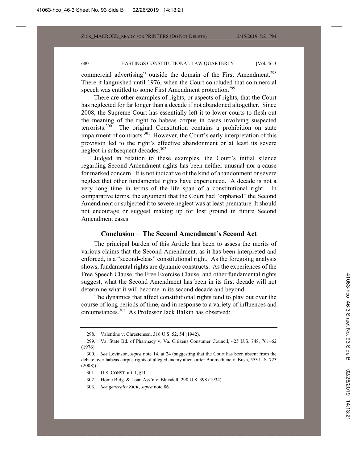commercial advertising" outside the domain of the First Amendment.<sup>298</sup> There it languished until 1976, when the Court concluded that commercial speech was entitled to some First Amendment protection.<sup>299</sup>

There are other examples of rights, or aspects of rights, that the Court has neglected for far longer than a decade if not abandoned altogether. Since 2008, the Supreme Court has essentially left it to lower courts to flesh out the meaning of the right to habeas corpus in cases involving suspected terrorists.<sup>300</sup> The original Constitution contains a prohibition on state impairment of contracts.<sup>301</sup> However, the Court's early interpretation of this provision led to the right's effective abandonment or at least its severe neglect in subsequent decades.<sup>302</sup>

Judged in relation to these examples, the Court's initial silence regarding Second Amendment rights has been neither unusual nor a cause for marked concern. It is not indicative of the kind of abandonment or severe neglect that other fundamental rights have experienced. A decade is not a very long time in terms of the life span of a constitutional right. In comparative terms, the argument that the Court had "orphaned" the Second Amendment or subjected it to severe neglect was at least premature. It should not encourage or suggest making up for lost ground in future Second Amendment cases.

# **Conclusion – The Second Amendment's Second Act**

The principal burden of this Article has been to assess the merits of various claims that the Second Amendment, as it has been interpreted and enforced, is a "second-class" constitutional right. As the foregoing analysis shows, fundamental rights are dynamic constructs. As the experiences of the Free Speech Clause, the Free Exercise Clause, and other fundamental rights suggest, what the Second Amendment has been in its first decade will not determine what it will become in its second decade and beyond.

The dynamics that affect constitutional rights tend to play out over the course of long periods of time, and in response to a variety of influences and circumstances.<sup>303</sup> As Professor Jack Balkin has observed:

 <sup>298.</sup> Valentine v. Chrestensen, 316 U.S. 52, 54 (1942).

 <sup>299.</sup> Va. State Bd. of Pharmacy v. Va. Citizens Consumer Council, 425 U.S. 748, 761–62 (1976).

 <sup>300.</sup> *See* Levinson, *supra* note 14, at 24 (suggesting that the Court has been absent from the debate over habeas corpus rights of alleged enemy aliens after Boumediene v. Bush, 553 U.S. 723 (2008)).

 <sup>301.</sup> U.S. CONST. art. I, §10.

 <sup>302.</sup> Home Bldg. & Loan Ass'n v. Blaisdell, 290 U.S. 398 (1934).

 <sup>303.</sup> *See generally* ZICK, *supra* note 86.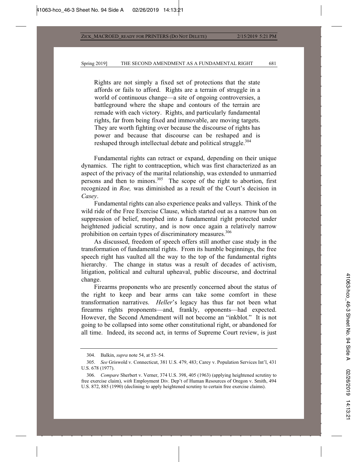Rights are not simply a fixed set of protections that the state affords or fails to afford. Rights are a terrain of struggle in a world of continuous change—a site of ongoing controversies, a battleground where the shape and contours of the terrain are remade with each victory. Rights, and particularly fundamental rights, far from being fixed and immovable, are moving targets. They are worth fighting over because the discourse of rights has power and because that discourse can be reshaped and is reshaped through intellectual debate and political struggle.<sup>304</sup>

Fundamental rights can retract or expand, depending on their unique dynamics. The right to contraception, which was first characterized as an aspect of the privacy of the marital relationship, was extended to unmarried persons and then to minors.<sup>305</sup> The scope of the right to abortion, first recognized in *Roe,* was diminished as a result of the Court's decision in *Casey*.

Fundamental rights can also experience peaks and valleys. Think of the wild ride of the Free Exercise Clause, which started out as a narrow ban on suppression of belief, morphed into a fundamental right protected under heightened judicial scrutiny, and is now once again a relatively narrow prohibition on certain types of discriminatory measures.<sup>306</sup>

As discussed, freedom of speech offers still another case study in the transformation of fundamental rights. From its humble beginnings, the free speech right has vaulted all the way to the top of the fundamental rights hierarchy. The change in status was a result of decades of activism, litigation, political and cultural upheaval, public discourse, and doctrinal change.

Firearms proponents who are presently concerned about the status of the right to keep and bear arms can take some comfort in these transformation narratives. *Heller*'s legacy has thus far not been what firearms rights proponents––and, frankly, opponents––had expected. However, the Second Amendment will not become an "inkblot." It is not going to be collapsed into some other constitutional right, or abandoned for all time. Indeed, its second act, in terms of Supreme Court review, is just

 <sup>304.</sup> Balkin, *supra* note 54, at 53–54.

 <sup>305.</sup> *See* Griswold v. Connecticut, 381 U.S. 479, 483; Carey v. Population Services Int'l, 431 U.S. 678 (1977).

 <sup>306.</sup> *Compare* Sherbert v. Verner, 374 U.S. 398, 405 (1963) (applying heightened scrutiny to free exercise claim), *with* Employment Div. Dep't of Human Resources of Oregon v. Smith, 494 U.S. 872, 885 (1990) (declining to apply heightened scrutiny to certain free exercise claims).